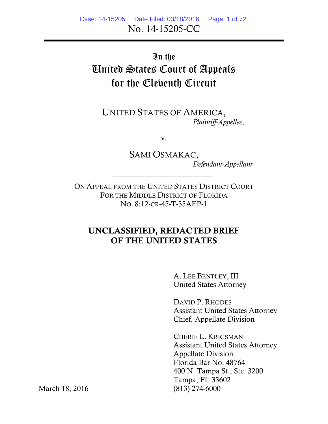In the United States Court of Appeals for the Eleventh Circuit

UNITED STATES OF AMERICA, *Plaintiff-Appellee*,

v.

SAMI OSMAKAC, *Defendant-Appellant* 

ON APPEAL FROM THE UNITED STATES DISTRICT COURT FOR THE MIDDLE DISTRICT OF FLORIDA NO. 8:12-CR-45-T-35AEP-1

# UNCLASSIFIED, REDACTED BRIEF OF THE UNITED STATES

 A. LEE BENTLEY, III United States Attorney

 DAVID P. RHODES Assistant United States Attorney Chief, Appellate Division

 CHERIE L. KRIGSMAN Assistant United States Attorney Appellate Division Florida Bar No. 48764 400 N. Tampa St., Ste. 3200 Tampa, FL 33602

March 18, 2016 (813) 274-6000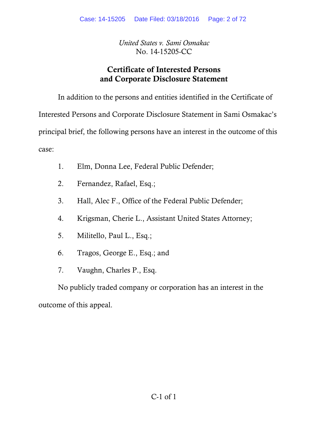*United States v. Sami Osmakac*  No. 14-15205-CC

# Certificate of Interested Persons and Corporate Disclosure Statement

In addition to the persons and entities identified in the Certificate of Interested Persons and Corporate Disclosure Statement in Sami Osmakac's principal brief, the following persons have an interest in the outcome of this case:

- 1. Elm, Donna Lee, Federal Public Defender;
- 2. Fernandez, Rafael, Esq.;
- 3. Hall, Alec F., Office of the Federal Public Defender;
- 4. Krigsman, Cherie L., Assistant United States Attorney;
- 5. Militello, Paul L., Esq.;
- 6. Tragos, George E., Esq.; and
- 7. Vaughn, Charles P., Esq.

 No publicly traded company or corporation has an interest in the outcome of this appeal.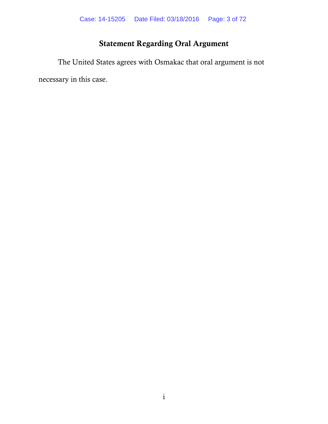# Statement Regarding Oral Argument

The United States agrees with Osmakac that oral argument is not necessary in this case.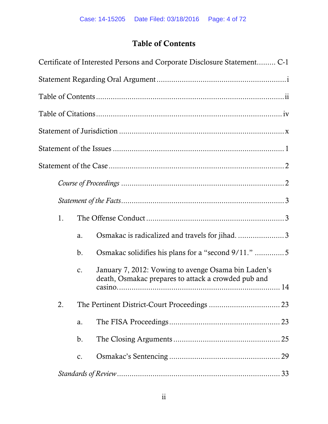# Table of Contents

|    | Certificate of Interested Persons and Corporate Disclosure Statement C-1                                                    |
|----|-----------------------------------------------------------------------------------------------------------------------------|
|    |                                                                                                                             |
|    |                                                                                                                             |
|    |                                                                                                                             |
|    |                                                                                                                             |
|    |                                                                                                                             |
|    |                                                                                                                             |
|    |                                                                                                                             |
|    |                                                                                                                             |
| 1. |                                                                                                                             |
|    | a.                                                                                                                          |
|    | Osmakac solidifies his plans for a "second 9/11." 5<br>b.                                                                   |
|    | January 7, 2012: Vowing to avenge Osama bin Laden's<br>$C_{\bullet}$<br>death, Osmakac prepares to attack a crowded pub and |
| 2. |                                                                                                                             |
|    | a.                                                                                                                          |
|    | b.                                                                                                                          |
|    | c.                                                                                                                          |
|    |                                                                                                                             |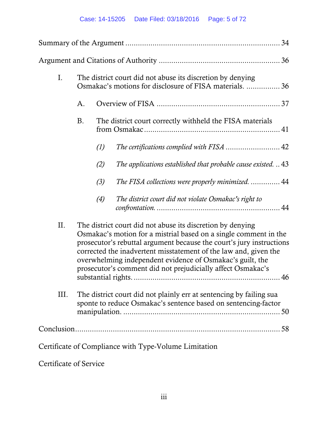| I.   | The district court did not abuse its discretion by denying<br>Osmakac's motions for disclosure of FISA materials.  36 |     |                                                                                                                                                                                                                                                                                                                                                                                                              |  |
|------|-----------------------------------------------------------------------------------------------------------------------|-----|--------------------------------------------------------------------------------------------------------------------------------------------------------------------------------------------------------------------------------------------------------------------------------------------------------------------------------------------------------------------------------------------------------------|--|
|      | A.                                                                                                                    |     |                                                                                                                                                                                                                                                                                                                                                                                                              |  |
|      | <b>B.</b>                                                                                                             |     | The district court correctly withheld the FISA materials                                                                                                                                                                                                                                                                                                                                                     |  |
|      |                                                                                                                       | (1) |                                                                                                                                                                                                                                                                                                                                                                                                              |  |
|      |                                                                                                                       | (2) | The applications established that probable cause existed43                                                                                                                                                                                                                                                                                                                                                   |  |
|      |                                                                                                                       | (3) | The FISA collections were properly minimized.  44                                                                                                                                                                                                                                                                                                                                                            |  |
|      |                                                                                                                       | (4) | The district court did not violate Osmakac's right to                                                                                                                                                                                                                                                                                                                                                        |  |
| Π.   |                                                                                                                       |     | The district court did not abuse its discretion by denying<br>Osmakac's motion for a mistrial based on a single comment in the<br>prosecutor's rebuttal argument because the court's jury instructions<br>corrected the inadvertent misstatement of the law and, given the<br>overwhelming independent evidence of Osmakac's guilt, the<br>prosecutor's comment did not prejudicially affect Osmakac's<br>46 |  |
| III. |                                                                                                                       |     | The district court did not plainly err at sentencing by failing sua<br>sponte to reduce Osmakac's sentence based on sentencing-factor                                                                                                                                                                                                                                                                        |  |
|      |                                                                                                                       |     |                                                                                                                                                                                                                                                                                                                                                                                                              |  |
|      |                                                                                                                       |     | Certificate of Compliance with Type-Volume Limitation                                                                                                                                                                                                                                                                                                                                                        |  |

Certificate of Service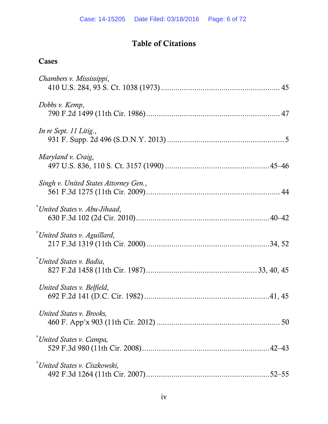# Table of Citations

### **Cases**

| Chambers v. Mississippi,                  |  |
|-------------------------------------------|--|
| Dobbs v. Kemp,                            |  |
| In re Sept. 11 Litig.,                    |  |
| Maryland v. Craig,                        |  |
| Singh v. United States Attorney Gen.,     |  |
| <sup>*</sup> United States v. Abu-Jihaad, |  |
| *United States v. Aguillard,              |  |
| *United States v. Badia,                  |  |
| United States v. Belfield,                |  |
| United States v. Brooks,                  |  |
| *United States v. Campa,                  |  |
| *United States v. Ciszkowski,             |  |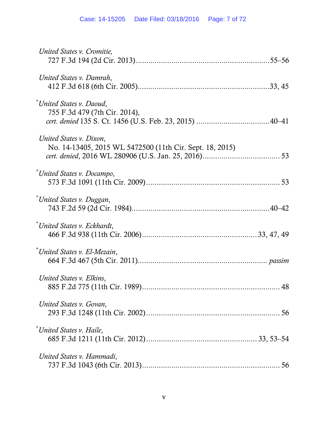| United States v. Cromitie,                               |    |
|----------------------------------------------------------|----|
|                                                          |    |
| United States v. Damrah,                                 |    |
|                                                          |    |
| *United States v. Daoud,                                 |    |
| 755 F.3d 479 (7th Cir. 2014),                            |    |
|                                                          |    |
| United States v. Dixon,                                  |    |
| No. 14-13405, 2015 WL 5472500 (11th Cir. Sept. 18, 2015) |    |
|                                                          |    |
| *United States v. Docampo,                               |    |
|                                                          |    |
| "United States v. Duggan,                                |    |
|                                                          |    |
| "United States v. Eckhardt,                              |    |
|                                                          |    |
| "United States v. El-Mezain,                             |    |
|                                                          |    |
|                                                          |    |
| United States v. Elkins,                                 | 48 |
|                                                          |    |
| United States v. Govan,                                  |    |
|                                                          |    |
| *United States v. Haile,                                 |    |
|                                                          |    |
| United States v. Hammadi,                                |    |
|                                                          |    |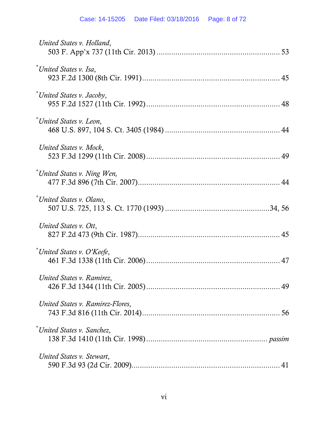| United States v. Holland,              |
|----------------------------------------|
| *United States v. Isa,                 |
| *United States v. Jacoby,              |
| *United States v. Leon,                |
| United States v. Mock,                 |
| *United States v. Ning Wen,            |
| <sup>*</sup> United States v. Olano,   |
| United States v. Ott,                  |
| <sup>*</sup> United States v. O'Keefe, |
| United States v. Ramirez               |
| United States v. Ramirez-Flores,       |
| <sup>*</sup> United States v. Sanchez, |
| United States v. Stewart,              |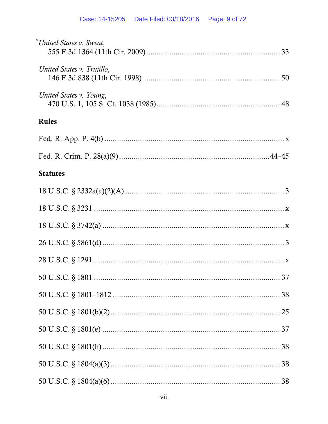| *United States v. Sweat,   |
|----------------------------|
| United States v. Trujillo, |
| United States v. Young,    |
| <b>Rules</b>               |
|                            |
|                            |
| <b>Statutes</b>            |
|                            |
|                            |
|                            |
|                            |
|                            |
|                            |
|                            |
|                            |
|                            |
|                            |
|                            |
|                            |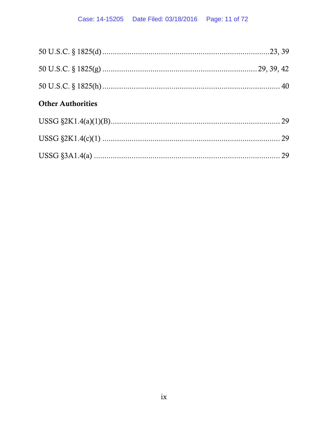| <b>Other Authorities</b> |  |
|--------------------------|--|
|                          |  |
|                          |  |
|                          |  |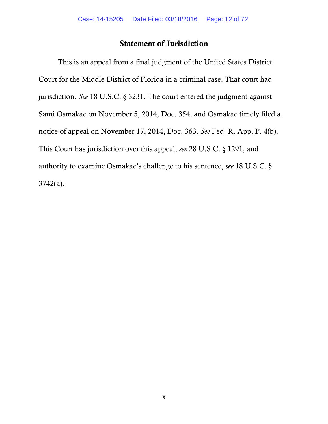## Statement of Jurisdiction

This is an appeal from a final judgment of the United States District Court for the Middle District of Florida in a criminal case. That court had jurisdiction. *See* 18 U.S.C. § 3231. The court entered the judgment against Sami Osmakac on November 5, 2014, Doc. 354, and Osmakac timely filed a notice of appeal on November 17, 2014, Doc. 363. *See* Fed. R. App. P. 4(b). This Court has jurisdiction over this appeal, *see* 28 U.S.C. § 1291, and authority to examine Osmakac's challenge to his sentence, *see* 18 U.S.C. § 3742(a).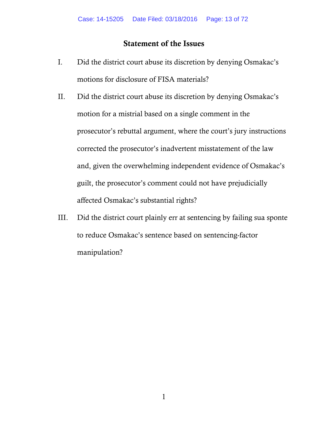## Statement of the Issues

- I. Did the district court abuse its discretion by denying Osmakac's motions for disclosure of FISA materials?
- II. Did the district court abuse its discretion by denying Osmakac's motion for a mistrial based on a single comment in the prosecutor's rebuttal argument, where the court's jury instructions corrected the prosecutor's inadvertent misstatement of the law and, given the overwhelming independent evidence of Osmakac's guilt, the prosecutor's comment could not have prejudicially affected Osmakac's substantial rights?
- III. Did the district court plainly err at sentencing by failing sua sponte to reduce Osmakac's sentence based on sentencing-factor manipulation?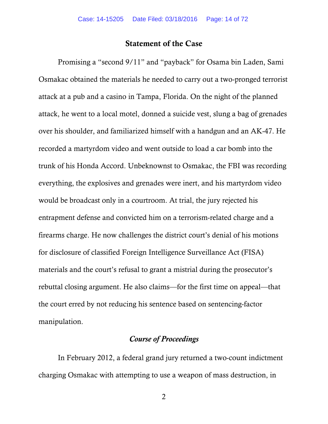### Statement of the Case

Promising a "second 9/11" and "payback" for Osama bin Laden, Sami Osmakac obtained the materials he needed to carry out a two-pronged terrorist attack at a pub and a casino in Tampa, Florida. On the night of the planned attack, he went to a local motel, donned a suicide vest, slung a bag of grenades over his shoulder, and familiarized himself with a handgun and an AK-47. He recorded a martyrdom video and went outside to load a car bomb into the trunk of his Honda Accord. Unbeknownst to Osmakac, the FBI was recording everything, the explosives and grenades were inert, and his martyrdom video would be broadcast only in a courtroom. At trial, the jury rejected his entrapment defense and convicted him on a terrorism-related charge and a firearms charge. He now challenges the district court's denial of his motions for disclosure of classified Foreign Intelligence Surveillance Act (FISA) materials and the court's refusal to grant a mistrial during the prosecutor's rebuttal closing argument. He also claims—for the first time on appeal—that the court erred by not reducing his sentence based on sentencing-factor manipulation.

#### *Course of Proceedings*

In February 2012, a federal grand jury returned a two-count indictment charging Osmakac with attempting to use a weapon of mass destruction, in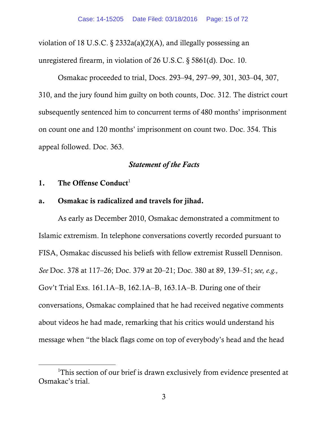violation of 18 U.S.C. § 2332a(a)(2)(A), and illegally possessing an unregistered firearm, in violation of 26 U.S.C. § 5861(d). Doc. 10.

Osmakac proceeded to trial, Docs. 293–94, 297–99, 301, 303–04, 307, 310, and the jury found him guilty on both counts, Doc. 312. The district court subsequently sentenced him to concurrent terms of 480 months' imprisonment on count one and 120 months' imprisonment on count two. Doc. 354. This appeal followed. Doc. 363.

### *Statement of the Facts*

#### 1. The Offense Conduct<sup>1</sup>

#### a. Osmakac is radicalized and travels for jihad.

As early as December 2010, Osmakac demonstrated a commitment to Islamic extremism. In telephone conversations covertly recorded pursuant to FISA, Osmakac discussed his beliefs with fellow extremist Russell Dennison. *See* Doc. 378 at 117–26; Doc. 379 at 20–21; Doc. 380 at 89, 139–51; *see, e.g.,*  Gov't Trial Exs. 161.1A–B, 162.1A–B, 163.1A–B. During one of their conversations, Osmakac complained that he had received negative comments about videos he had made, remarking that his critics would understand his message when "the black flags come on top of everybody's head and the head

 $\frac{1}{1}$ <sup>1</sup>This section of our brief is drawn exclusively from evidence presented at Osmakac's trial.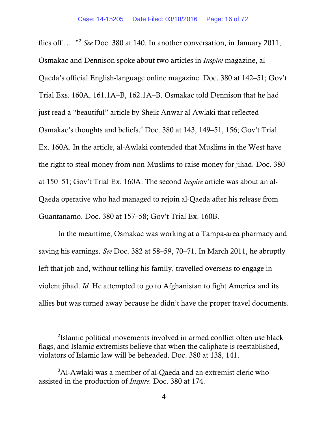flies off … ."<sup>2</sup> *See* Doc. 380 at 140. In another conversation, in January 2011, Osmakac and Dennison spoke about two articles in *Inspire* magazine, al-Qaeda's official English-language online magazine. Doc. 380 at 142–51; Gov't Trial Exs. 160A, 161.1A–B, 162.1A–B. Osmakac told Dennison that he had just read a "beautiful" article by Sheik Anwar al-Awlaki that reflected Osmakac's thoughts and beliefs.<sup>3</sup> Doc. 380 at 143, 149–51, 156; Gov't Trial Ex. 160A. In the article, al-Awlaki contended that Muslims in the West have the right to steal money from non-Muslims to raise money for jihad. Doc. 380 at 150–51; Gov't Trial Ex. 160A. The second *Inspire* article was about an al-Qaeda operative who had managed to rejoin al-Qaeda after his release from Guantanamo. Doc. 380 at 157–58; Gov't Trial Ex. 160B.

In the meantime, Osmakac was working at a Tampa-area pharmacy and saving his earnings. *See* Doc. 382 at 58–59, 70–71. In March 2011, he abruptly left that job and, without telling his family, travelled overseas to engage in violent jihad. *Id.* He attempted to go to Afghanistan to fight America and its allies but was turned away because he didn't have the proper travel documents.

 $\frac{1}{2}$ <sup>2</sup>Islamic political movements involved in armed conflict often use black flags, and Islamic extremists believe that when the caliphate is reestablished, violators of Islamic law will be beheaded. Doc. 380 at 138, 141.

<sup>&</sup>lt;sup>3</sup>Al-Awlaki was a member of al-Qaeda and an extremist cleric who assisted in the production of *Inspire.* Doc. 380 at 174.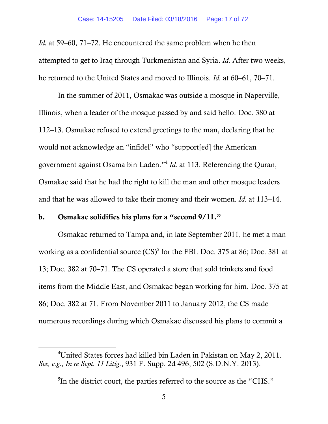*Id.* at 59–60, 71–72. He encountered the same problem when he then attempted to get to Iraq through Turkmenistan and Syria. *Id.* After two weeks, he returned to the United States and moved to Illinois. *Id.* at 60–61, 70–71.

In the summer of 2011, Osmakac was outside a mosque in Naperville, Illinois, when a leader of the mosque passed by and said hello. Doc. 380 at 112–13. Osmakac refused to extend greetings to the man, declaring that he would not acknowledge an "infidel" who "support[ed] the American government against Osama bin Laden."<sup>4</sup> *Id.* at 113. Referencing the Quran, Osmakac said that he had the right to kill the man and other mosque leaders and that he was allowed to take their money and their women. *Id.* at 113–14.

## b. Osmakac solidifies his plans for a "second 9/11."

Osmakac returned to Tampa and, in late September 2011, he met a man working as a confidential source  $(CS)^5$  for the FBI. Doc. 375 at 86; Doc. 381 at 13; Doc. 382 at 70–71. The CS operated a store that sold trinkets and food items from the Middle East, and Osmakac began working for him. Doc. 375 at 86; Doc. 382 at 71. From November 2011 to January 2012, the CS made numerous recordings during which Osmakac discussed his plans to commit a

 $\overline{\phantom{a}}$ United States forces had killed bin Laden in Pakistan on May 2, 2011. *See, e.g., In re Sept. 11 Litig*., 931 F. Supp. 2d 496, 502 (S.D.N.Y. 2013).

<sup>&</sup>lt;sup>5</sup>In the district court, the parties referred to the source as the "CHS."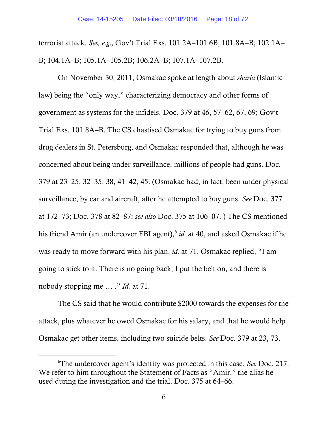terrorist attack. *See, e.g.,* Gov't Trial Exs. 101.2A–101.6B; 101.8A–B; 102.1A– B; 104.1A–B; 105.1A–105.2B; 106.2A–B; 107.1A–107.2B.

On November 30, 2011, Osmakac spoke at length about *sharia* (Islamic law) being the "only way," characterizing democracy and other forms of government as systems for the infidels. Doc. 379 at 46, 57–62, 67, 69; Gov't Trial Exs. 101.8A–B. The CS chastised Osmakac for trying to buy guns from drug dealers in St. Petersburg, and Osmakac responded that, although he was concerned about being under surveillance, millions of people had guns. Doc. 379 at 23–25, 32–35, 38, 41–42, 45. (Osmakac had, in fact, been under physical surveillance, by car and aircraft, after he attempted to buy guns. *See* Doc. 377 at 172–73; Doc. 378 at 82–87; *see also* Doc. 375 at 106–07. ) The CS mentioned his friend Amir (an undercover FBI agent),<sup>6</sup> *id.* at 40, and asked Osmakac if he was ready to move forward with his plan, *id.* at 71. Osmakac replied, "I am going to stick to it. There is no going back, I put the belt on, and there is nobody stopping me … ." *Id.* at 71.

The CS said that he would contribute \$2000 towards the expenses for the attack, plus whatever he owed Osmakac for his salary, and that he would help Osmakac get other items, including two suicide belts. *See* Doc. 379 at 23, 73.

 <sup>6</sup> The undercover agent's identity was protected in this case. *See* Doc. 217. We refer to him throughout the Statement of Facts as "Amir," the alias he used during the investigation and the trial. Doc. 375 at 64–66.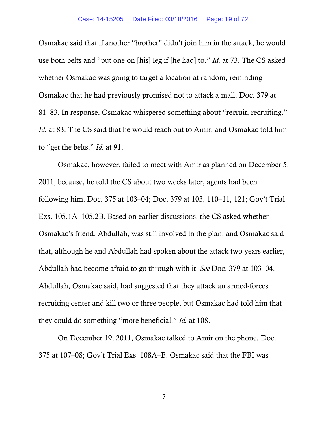Osmakac said that if another "brother" didn't join him in the attack, he would use both belts and "put one on [his] leg if [he had] to." *Id.* at 73. The CS asked whether Osmakac was going to target a location at random, reminding Osmakac that he had previously promised not to attack a mall. Doc. 379 at 81–83. In response, Osmakac whispered something about "recruit, recruiting." *Id.* at 83. The CS said that he would reach out to Amir, and Osmakac told him to "get the belts." *Id.* at 91.

Osmakac, however, failed to meet with Amir as planned on December 5, 2011, because, he told the CS about two weeks later, agents had been following him. Doc. 375 at 103–04; Doc. 379 at 103, 110–11, 121; Gov't Trial Exs. 105.1A–105.2B. Based on earlier discussions, the CS asked whether Osmakac's friend, Abdullah, was still involved in the plan, and Osmakac said that, although he and Abdullah had spoken about the attack two years earlier, Abdullah had become afraid to go through with it. *See* Doc. 379 at 103–04. Abdullah, Osmakac said, had suggested that they attack an armed-forces recruiting center and kill two or three people, but Osmakac had told him that they could do something "more beneficial." *Id.* at 108.

On December 19, 2011, Osmakac talked to Amir on the phone. Doc. 375 at 107–08; Gov't Trial Exs. 108A–B. Osmakac said that the FBI was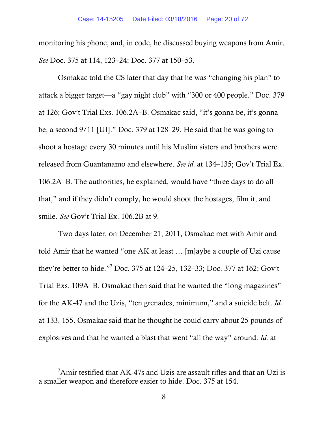monitoring his phone, and, in code, he discussed buying weapons from Amir. *See* Doc. 375 at 114, 123–24; Doc. 377 at 150–53.

Osmakac told the CS later that day that he was "changing his plan" to attack a bigger target—a "gay night club" with "300 or 400 people." Doc. 379 at 126; Gov't Trial Exs. 106.2A–B. Osmakac said, "it's gonna be, it's gonna be, a second 9/11 [UI]." Doc. 379 at 128–29. He said that he was going to shoot a hostage every 30 minutes until his Muslim sisters and brothers were released from Guantanamo and elsewhere. *See id.* at 134–135; Gov't Trial Ex. 106.2A–B. The authorities, he explained, would have "three days to do all that," and if they didn't comply, he would shoot the hostages, film it, and smile. *See* Gov't Trial Ex. 106.2B at 9.

Two days later, on December 21, 2011, Osmakac met with Amir and told Amir that he wanted "one AK at least … [m]aybe a couple of Uzi cause they're better to hide."<sup>7</sup> Doc. 375 at 124–25, 132–33; Doc. 377 at 162; Gov't Trial Exs. 109A–B. Osmakac then said that he wanted the "long magazines" for the AK-47 and the Uzis, "ten grenades, minimum," and a suicide belt. *Id.*  at 133, 155. Osmakac said that he thought he could carry about 25 pounds of explosives and that he wanted a blast that went "all the way" around. *Id.* at

 <sup>7</sup>  ${}^{7}$ Amir testified that AK-47s and Uzis are assault rifles and that an Uzi is a smaller weapon and therefore easier to hide. Doc. 375 at 154.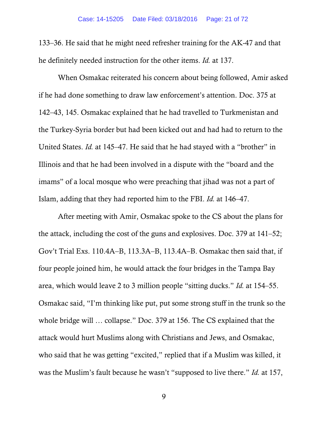133–36. He said that he might need refresher training for the AK-47 and that he definitely needed instruction for the other items. *Id.* at 137.

When Osmakac reiterated his concern about being followed, Amir asked if he had done something to draw law enforcement's attention. Doc. 375 at 142–43, 145. Osmakac explained that he had travelled to Turkmenistan and the Turkey-Syria border but had been kicked out and had had to return to the United States. *Id.* at 145–47. He said that he had stayed with a "brother" in Illinois and that he had been involved in a dispute with the "board and the imams" of a local mosque who were preaching that jihad was not a part of Islam, adding that they had reported him to the FBI. *Id.* at 146–47.

After meeting with Amir, Osmakac spoke to the CS about the plans for the attack, including the cost of the guns and explosives. Doc. 379 at 141–52; Gov't Trial Exs. 110.4A–B, 113.3A–B, 113.4A–B. Osmakac then said that, if four people joined him, he would attack the four bridges in the Tampa Bay area, which would leave 2 to 3 million people "sitting ducks." *Id.* at 154–55. Osmakac said, "I'm thinking like put, put some strong stuff in the trunk so the whole bridge will … collapse." Doc. 379 at 156. The CS explained that the attack would hurt Muslims along with Christians and Jews, and Osmakac, who said that he was getting "excited," replied that if a Muslim was killed, it was the Muslim's fault because he wasn't "supposed to live there." *Id.* at 157,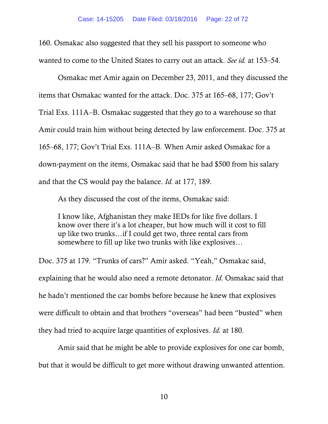160. Osmakac also suggested that they sell his passport to someone who wanted to come to the United States to carry out an attack. *See id.* at 153–54.

Osmakac met Amir again on December 23, 2011, and they discussed the items that Osmakac wanted for the attack. Doc. 375 at 165–68, 177; Gov't Trial Exs. 111A–B. Osmakac suggested that they go to a warehouse so that Amir could train him without being detected by law enforcement. Doc. 375 at 165–68, 177; Gov't Trial Exs. 111A–B. When Amir asked Osmakac for a down-payment on the items, Osmakac said that he had \$500 from his salary and that the CS would pay the balance. *Id.* at 177, 189.

As they discussed the cost of the items, Osmakac said:

I know like, Afghanistan they make IEDs for like five dollars. I know over there it's a lot cheaper, but how much will it cost to fill up like two trunks…if I could get two, three rental cars from somewhere to fill up like two trunks with like explosives…

Doc. 375 at 179. "Trunks of cars?" Amir asked. "Yeah," Osmakac said, explaining that he would also need a remote detonator. *Id.* Osmakac said that he hadn't mentioned the car bombs before because he knew that explosives were difficult to obtain and that brothers "overseas" had been "busted" when they had tried to acquire large quantities of explosives. *Id.* at 180.

Amir said that he might be able to provide explosives for one car bomb, but that it would be difficult to get more without drawing unwanted attention.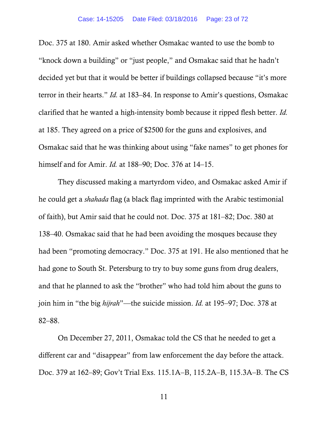Doc. 375 at 180. Amir asked whether Osmakac wanted to use the bomb to "knock down a building" or "just people," and Osmakac said that he hadn't decided yet but that it would be better if buildings collapsed because "it's more terror in their hearts." *Id.* at 183–84. In response to Amir's questions, Osmakac clarified that he wanted a high-intensity bomb because it ripped flesh better. *Id.*  at 185. They agreed on a price of \$2500 for the guns and explosives, and Osmakac said that he was thinking about using "fake names" to get phones for himself and for Amir. *Id.* at 188–90; Doc. 376 at 14–15.

They discussed making a martyrdom video, and Osmakac asked Amir if he could get a *shahada* flag (a black flag imprinted with the Arabic testimonial of faith), but Amir said that he could not. Doc. 375 at 181–82; Doc. 380 at 138–40. Osmakac said that he had been avoiding the mosques because they had been "promoting democracy." Doc. 375 at 191. He also mentioned that he had gone to South St. Petersburg to try to buy some guns from drug dealers, and that he planned to ask the "brother" who had told him about the guns to join him in "the big *hijrah*"—the suicide mission. *Id.* at 195–97; Doc. 378 at 82–88.

On December 27, 2011, Osmakac told the CS that he needed to get a different car and "disappear" from law enforcement the day before the attack. Doc. 379 at 162–89; Gov't Trial Exs. 115.1A–B, 115.2A–B, 115.3A–B. The CS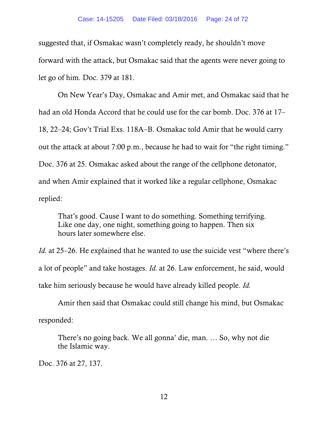suggested that, if Osmakac wasn't completely ready, he shouldn't move forward with the attack, but Osmakac said that the agents were never going to let go of him. Doc. 379 at 181.

On New Year's Day, Osmakac and Amir met, and Osmakac said that he had an old Honda Accord that he could use for the car bomb. Doc. 376 at 17– 18, 22–24; Gov't Trial Exs. 118A–B. Osmakac told Amir that he would carry out the attack at about 7:00 p.m., because he had to wait for "the right timing." Doc. 376 at 25. Osmakac asked about the range of the cellphone detonator, and when Amir explained that it worked like a regular cellphone, Osmakac replied:

That's good. Cause I want to do something. Something terrifying. Like one day, one night, something going to happen. Then six hours later somewhere else.

*Id.* at 25–26. He explained that he wanted to use the suicide vest "where there's a lot of people" and take hostages. *Id.* at 26. Law enforcement, he said, would take him seriously because he would have already killed people. *Id.*

Amir then said that Osmakac could still change his mind, but Osmakac responded:

There's no going back. We all gonna' die, man. … So, why not die the Islamic way.

Doc. 376 at 27, 137.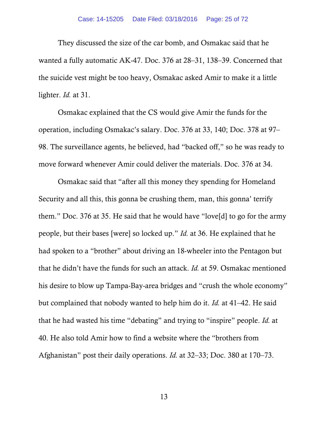They discussed the size of the car bomb, and Osmakac said that he wanted a fully automatic AK-47. Doc. 376 at 28–31, 138–39. Concerned that the suicide vest might be too heavy, Osmakac asked Amir to make it a little lighter. *Id.* at 31.

Osmakac explained that the CS would give Amir the funds for the operation, including Osmakac's salary. Doc. 376 at 33, 140; Doc. 378 at 97– 98. The surveillance agents, he believed, had "backed off," so he was ready to move forward whenever Amir could deliver the materials. Doc. 376 at 34.

Osmakac said that "after all this money they spending for Homeland Security and all this, this gonna be crushing them, man, this gonna' terrify them." Doc. 376 at 35. He said that he would have "love[d] to go for the army people, but their bases [were] so locked up." *Id.* at 36. He explained that he had spoken to a "brother" about driving an 18-wheeler into the Pentagon but that he didn't have the funds for such an attack. *Id.* at 59. Osmakac mentioned his desire to blow up Tampa-Bay-area bridges and "crush the whole economy" but complained that nobody wanted to help him do it. *Id.* at 41–42. He said that he had wasted his time "debating" and trying to "inspire" people. *Id.* at 40. He also told Amir how to find a website where the "brothers from Afghanistan" post their daily operations. *Id.* at 32–33; Doc. 380 at 170–73.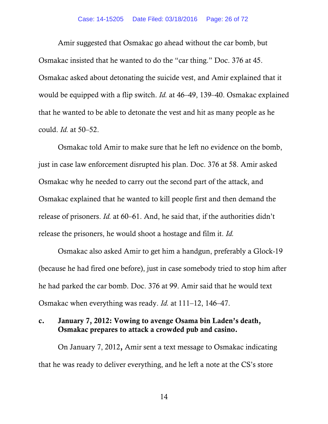#### Case: 14-15205 Date Filed: 03/18/2016 Page: 26 of 72

Amir suggested that Osmakac go ahead without the car bomb, but Osmakac insisted that he wanted to do the "car thing." Doc. 376 at 45. Osmakac asked about detonating the suicide vest, and Amir explained that it would be equipped with a flip switch. *Id.* at 46–49, 139–40. Osmakac explained that he wanted to be able to detonate the vest and hit as many people as he could. *Id.* at 50–52.

Osmakac told Amir to make sure that he left no evidence on the bomb, just in case law enforcement disrupted his plan. Doc. 376 at 58. Amir asked Osmakac why he needed to carry out the second part of the attack, and Osmakac explained that he wanted to kill people first and then demand the release of prisoners. *Id.* at 60–61. And, he said that, if the authorities didn't release the prisoners, he would shoot a hostage and film it. *Id.*

Osmakac also asked Amir to get him a handgun, preferably a Glock-19 (because he had fired one before), just in case somebody tried to stop him after he had parked the car bomb. Doc. 376 at 99. Amir said that he would text Osmakac when everything was ready. *Id.* at 111–12, 146–47.

### c. January 7, 2012: Vowing to avenge Osama bin Laden's death, Osmakac prepares to attack a crowded pub and casino.

On January 7, 2012, Amir sent a text message to Osmakac indicating that he was ready to deliver everything, and he left a note at the CS's store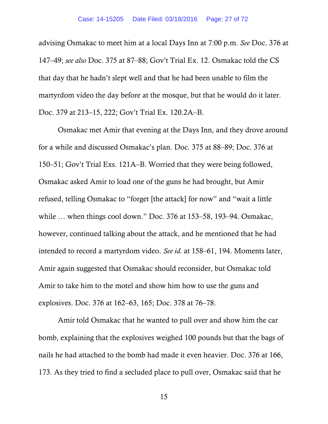advising Osmakac to meet him at a local Days Inn at 7:00 p.m. *See* Doc. 376 at 147–49; *see also* Doc. 375 at 87–88; Gov't Trial Ex. 12. Osmakac told the CS that day that he hadn't slept well and that he had been unable to film the martyrdom video the day before at the mosque, but that he would do it later. Doc. 379 at 213–15, 222; Gov't Trial Ex. 120.2A–B.

Osmakac met Amir that evening at the Days Inn, and they drove around for a while and discussed Osmakac's plan. Doc. 375 at 88–89; Doc. 376 at 150–51; Gov't Trial Exs. 121A–B. Worried that they were being followed, Osmakac asked Amir to load one of the guns he had brought, but Amir refused, telling Osmakac to "forget [the attack] for now" and "wait a little while … when things cool down." Doc. 376 at 153–58, 193–94. Osmakac, however, continued talking about the attack, and he mentioned that he had intended to record a martyrdom video. *See id.* at 158–61, 194. Moments later, Amir again suggested that Osmakac should reconsider, but Osmakac told Amir to take him to the motel and show him how to use the guns and explosives. Doc. 376 at 162–63, 165; Doc. 378 at 76–78.

Amir told Osmakac that he wanted to pull over and show him the car bomb, explaining that the explosives weighed 100 pounds but that the bags of nails he had attached to the bomb had made it even heavier. Doc. 376 at 166, 173. As they tried to find a secluded place to pull over, Osmakac said that he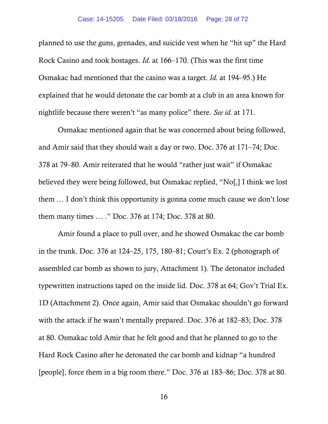planned to use the guns, grenades, and suicide vest when he "hit up" the Hard Rock Casino and took hostages. *Id.* at 166–170. (This was the first time Osmakac had mentioned that the casino was a target. *Id.* at 194–95.) He explained that he would detonate the car bomb at a club in an area known for nightlife because there weren't "as many police" there. *See id.* at 171.

Osmakac mentioned again that he was concerned about being followed, and Amir said that they should wait a day or two. Doc. 376 at 171–74; Doc. 378 at 79–80. Amir reiterated that he would "rather just wait" if Osmakac believed they were being followed, but Osmakac replied, "No[,] I think we lost them … I don't think this opportunity is gonna come much cause we don't lose them many times … ." Doc. 376 at 174; Doc. 378 at 80.

Amir found a place to pull over, and he showed Osmakac the car bomb in the trunk. Doc. 376 at 124–25, 175, 180–81; Court's Ex. 2 (photograph of assembled car bomb as shown to jury, Attachment 1). The detonator included typewritten instructions taped on the inside lid. Doc. 378 at 64; Gov't Trial Ex. 1D (Attachment 2). Once again, Amir said that Osmakac shouldn't go forward with the attack if he wasn't mentally prepared. Doc. 376 at 182–83; Doc. 378 at 80. Osmakac told Amir that he felt good and that he planned to go to the Hard Rock Casino after he detonated the car bomb and kidnap "a hundred [people], force them in a big room there." Doc. 376 at 183–86; Doc. 378 at 80.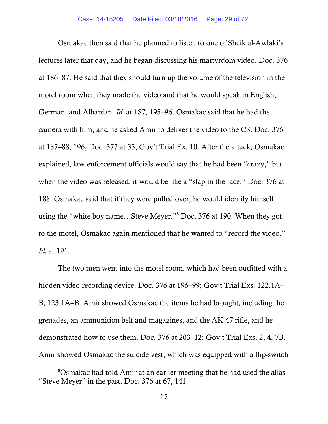Osmakac then said that he planned to listen to one of Sheik al-Awlaki's lectures later that day, and he began discussing his martyrdom video. Doc. 376 at 186–87. He said that they should turn up the volume of the television in the motel room when they made the video and that he would speak in English, German, and Albanian. *Id.* at 187, 195–96. Osmakac said that he had the camera with him, and he asked Amir to deliver the video to the CS. Doc. 376 at 187–88, 196; Doc. 377 at 33; Gov't Trial Ex. 10. After the attack, Osmakac explained, law-enforcement officials would say that he had been "crazy," but when the video was released, it would be like a "slap in the face." Doc. 376 at 188. Osmakac said that if they were pulled over, he would identify himself using the "white boy name…Steve Meyer."<sup>8</sup> Doc. 376 at 190. When they got to the motel, Osmakac again mentioned that he wanted to "record the video." *Id.* at 191.

The two men went into the motel room, which had been outfitted with a hidden video-recording device. Doc. 376 at 196–99; Gov't Trial Exs. 122.1A– B, 123.1A–B. Amir showed Osmakac the items he had brought, including the grenades, an ammunition belt and magazines, and the AK-47 rifle, and he demonstrated how to use them. Doc. 376 at 203–12; Gov't Trial Exs. 2, 4, 7B. Amir showed Osmakac the suicide vest, which was equipped with a flip-switch

 $rac{1}{\sqrt{8}}$ Osmakac had told Amir at an earlier meeting that he had used the alias "Steve Meyer" in the past. Doc. 376 at 67, 141.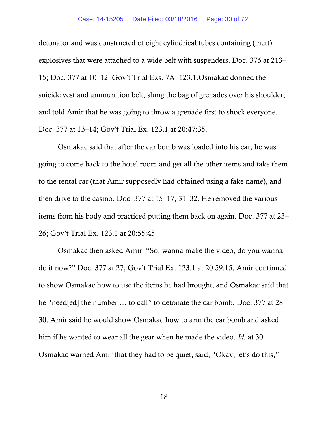#### Case: 14-15205 Date Filed: 03/18/2016 Page: 30 of 72

detonator and was constructed of eight cylindrical tubes containing (inert) explosives that were attached to a wide belt with suspenders. Doc. 376 at 213– 15; Doc. 377 at 10–12; Gov't Trial Exs. 7A, 123.1.Osmakac donned the suicide vest and ammunition belt, slung the bag of grenades over his shoulder, and told Amir that he was going to throw a grenade first to shock everyone. Doc. 377 at 13–14; Gov't Trial Ex. 123.1 at 20:47:35.

Osmakac said that after the car bomb was loaded into his car, he was going to come back to the hotel room and get all the other items and take them to the rental car (that Amir supposedly had obtained using a fake name), and then drive to the casino. Doc. 377 at 15–17, 31–32. He removed the various items from his body and practiced putting them back on again. Doc. 377 at 23– 26; Gov't Trial Ex. 123.1 at 20:55:45.

Osmakac then asked Amir: "So, wanna make the video, do you wanna do it now?" Doc. 377 at 27; Gov't Trial Ex. 123.1 at 20:59:15. Amir continued to show Osmakac how to use the items he had brought, and Osmakac said that he "need[ed] the number ... to call" to detonate the car bomb. Doc. 377 at 28– 30. Amir said he would show Osmakac how to arm the car bomb and asked him if he wanted to wear all the gear when he made the video. *Id.* at 30. Osmakac warned Amir that they had to be quiet, said, "Okay, let's do this,"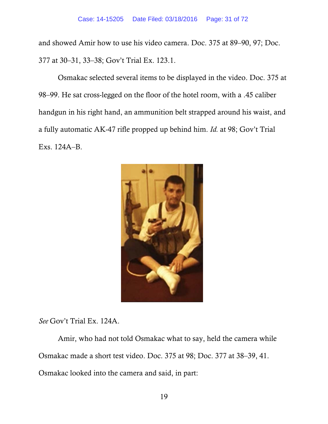and showed Amir how to use his video camera. Doc. 375 at 89–90, 97; Doc. 377 at 30–31, 33–38; Gov't Trial Ex. 123.1.

Osmakac selected several items to be displayed in the video. Doc. 375 at 98–99. He sat cross-legged on the floor of the hotel room, with a .45 caliber handgun in his right hand, an ammunition belt strapped around his waist, and a fully automatic AK-47 rifle propped up behind him. *Id.* at 98; Gov't Trial Exs. 124A–B.



*See* Gov't Trial Ex. 124A.

Amir, who had not told Osmakac what to say, held the camera while Osmakac made a short test video. Doc. 375 at 98; Doc. 377 at 38–39, 41. Osmakac looked into the camera and said, in part: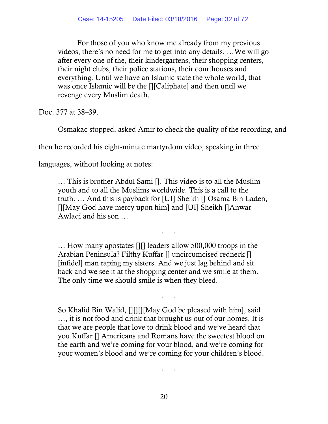For those of you who know me already from my previous videos, there's no need for me to get into any details. …We will go after every one of the, their kindergartens, their shopping centers, their night clubs, their police stations, their courthouses and everything. Until we have an Islamic state the whole world, that was once Islamic will be the [][Caliphate] and then until we revenge every Muslim death.

Doc. 377 at 38–39.

Osmakac stopped, asked Amir to check the quality of the recording, and

then he recorded his eight-minute martyrdom video, speaking in three

languages, without looking at notes:

… This is brother Abdul Sami []. This video is to all the Muslim youth and to all the Muslims worldwide. This is a call to the truth. … And this is payback for [UI] Sheikh [] Osama Bin Laden, [][May God have mercy upon him] and [UI] Sheikh []Anwar Awlaqi and his son …

… How many apostates [][] leaders allow 500,000 troops in the Arabian Peninsula? Filthy Kuffar [] uncircumcised redneck [] [infidel] man raping my sisters. And we just lag behind and sit back and we see it at the shopping center and we smile at them. The only time we should smile is when they bleed.

. . .

So Khalid Bin Walid, [][][][May God be pleased with him], said …, it is not food and drink that brought us out of our homes. It is that we are people that love to drink blood and we've heard that you Kuffar [] Americans and Romans have the sweetest blood on the earth and we're coming for your blood, and we're coming for your women's blood and we're coming for your children's blood.

. . .

. . .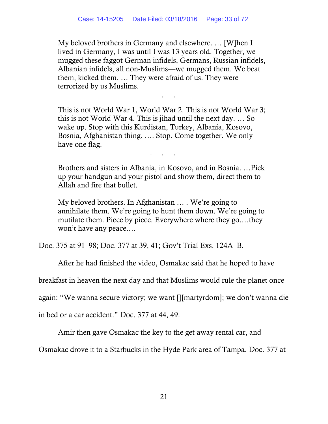My beloved brothers in Germany and elsewhere. … [W]hen I lived in Germany, I was until I was 13 years old. Together, we mugged these faggot German infidels, Germans, Russian infidels, Albanian infidels, all non-Muslims—we mugged them. We beat them, kicked them. … They were afraid of us. They were terrorized by us Muslims.

. . .

This is not World War 1, World War 2. This is not World War 3; this is not World War 4. This is jihad until the next day. … So wake up. Stop with this Kurdistan, Turkey, Albania, Kosovo, Bosnia, Afghanistan thing. …. Stop. Come together. We only have one flag.

Brothers and sisters in Albania, in Kosovo, and in Bosnia. …Pick up your handgun and your pistol and show them, direct them to Allah and fire that bullet.

. . .

My beloved brothers. In Afghanistan … . We're going to annihilate them. We're going to hunt them down. We're going to mutilate them. Piece by piece. Everywhere where they go.…they won't have any peace.…

Doc. 375 at 91–98; Doc. 377 at 39, 41; Gov't Trial Exs. 124A–B.

After he had finished the video, Osmakac said that he hoped to have

breakfast in heaven the next day and that Muslims would rule the planet once

again: "We wanna secure victory; we want [][martyrdom]; we don't wanna die

in bed or a car accident." Doc. 377 at 44, 49.

Amir then gave Osmakac the key to the get-away rental car, and

Osmakac drove it to a Starbucks in the Hyde Park area of Tampa. Doc. 377 at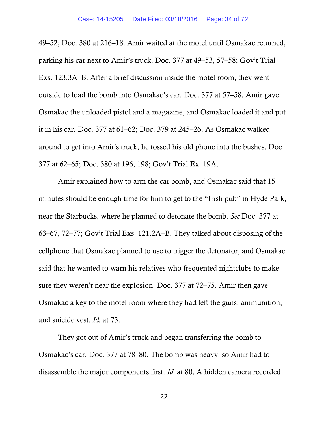49–52; Doc. 380 at 216–18. Amir waited at the motel until Osmakac returned, parking his car next to Amir's truck. Doc. 377 at 49–53, 57–58; Gov't Trial Exs. 123.3A–B. After a brief discussion inside the motel room, they went outside to load the bomb into Osmakac's car. Doc. 377 at 57–58. Amir gave Osmakac the unloaded pistol and a magazine, and Osmakac loaded it and put it in his car. Doc. 377 at 61–62; Doc. 379 at 245–26. As Osmakac walked around to get into Amir's truck, he tossed his old phone into the bushes. Doc. 377 at 62–65; Doc. 380 at 196, 198; Gov't Trial Ex. 19A.

Amir explained how to arm the car bomb, and Osmakac said that 15 minutes should be enough time for him to get to the "Irish pub" in Hyde Park, near the Starbucks, where he planned to detonate the bomb. *See* Doc. 377 at 63–67, 72–77; Gov't Trial Exs. 121.2A–B. They talked about disposing of the cellphone that Osmakac planned to use to trigger the detonator, and Osmakac said that he wanted to warn his relatives who frequented nightclubs to make sure they weren't near the explosion. Doc. 377 at 72–75. Amir then gave Osmakac a key to the motel room where they had left the guns, ammunition, and suicide vest. *Id.* at 73.

They got out of Amir's truck and began transferring the bomb to Osmakac's car. Doc. 377 at 78–80. The bomb was heavy, so Amir had to disassemble the major components first. *Id.* at 80. A hidden camera recorded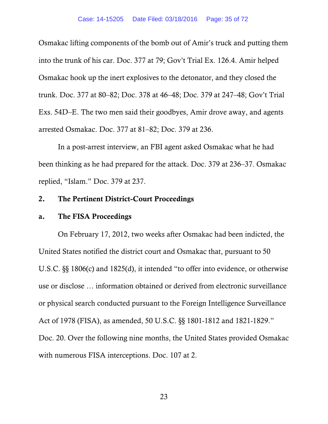Osmakac lifting components of the bomb out of Amir's truck and putting them into the trunk of his car. Doc. 377 at 79; Gov't Trial Ex. 126.4. Amir helped Osmakac hook up the inert explosives to the detonator, and they closed the trunk. Doc. 377 at 80–82; Doc. 378 at 46–48; Doc. 379 at 247–48; Gov't Trial Exs. 54D–E. The two men said their goodbyes, Amir drove away, and agents arrested Osmakac. Doc. 377 at 81–82; Doc. 379 at 236.

In a post-arrest interview, an FBI agent asked Osmakac what he had been thinking as he had prepared for the attack. Doc. 379 at 236–37. Osmakac replied, "Islam." Doc. 379 at 237.

### 2. The Pertinent District-Court Proceedings

#### a. The FISA Proceedings

On February 17, 2012, two weeks after Osmakac had been indicted, the United States notified the district court and Osmakac that, pursuant to 50 U.S.C. §§ 1806(c) and 1825(d), it intended "to offer into evidence, or otherwise use or disclose … information obtained or derived from electronic surveillance or physical search conducted pursuant to the Foreign Intelligence Surveillance Act of 1978 (FISA), as amended, 50 U.S.C. §§ 1801-1812 and 1821-1829." Doc. 20. Over the following nine months, the United States provided Osmakac with numerous FISA interceptions. Doc. 107 at 2.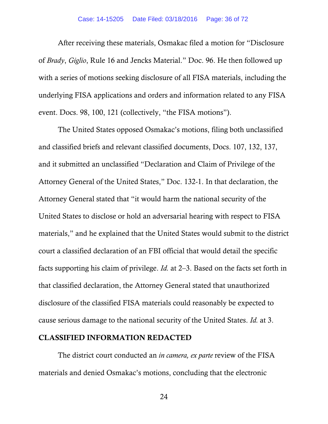After receiving these materials, Osmakac filed a motion for "Disclosure of *Brady*, *Giglio*, Rule 16 and Jencks Material." Doc. 96. He then followed up with a series of motions seeking disclosure of all FISA materials, including the underlying FISA applications and orders and information related to any FISA event. Docs. 98, 100, 121 (collectively, "the FISA motions").

The United States opposed Osmakac's motions, filing both unclassified and classified briefs and relevant classified documents, Docs. 107, 132, 137, and it submitted an unclassified "Declaration and Claim of Privilege of the Attorney General of the United States," Doc. 132-1. In that declaration, the Attorney General stated that "it would harm the national security of the United States to disclose or hold an adversarial hearing with respect to FISA materials," and he explained that the United States would submit to the district court a classified declaration of an FBI official that would detail the specific facts supporting his claim of privilege. *Id.* at 2–3. Based on the facts set forth in that classified declaration, the Attorney General stated that unauthorized disclosure of the classified FISA materials could reasonably be expected to cause serious damage to the national security of the United States. *Id.* at 3.

#### CLASSIFIED INFORMATION REDACTED

The district court conducted an *in camera, ex parte* review of the FISA materials and denied Osmakac's motions, concluding that the electronic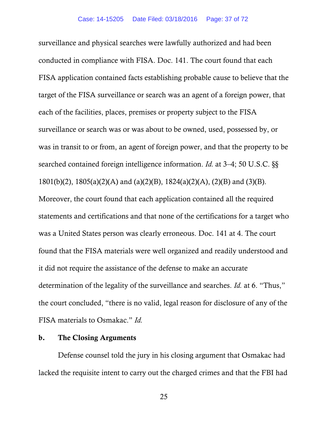surveillance and physical searches were lawfully authorized and had been conducted in compliance with FISA. Doc. 141. The court found that each FISA application contained facts establishing probable cause to believe that the target of the FISA surveillance or search was an agent of a foreign power, that each of the facilities, places, premises or property subject to the FISA surveillance or search was or was about to be owned, used, possessed by, or was in transit to or from, an agent of foreign power, and that the property to be searched contained foreign intelligence information. *Id.* at 3–4; 50 U.S.C. §§ 1801(b)(2), 1805(a)(2)(A) and (a)(2)(B), 1824(a)(2)(A), (2)(B) and (3)(B). Moreover, the court found that each application contained all the required statements and certifications and that none of the certifications for a target who was a United States person was clearly erroneous. Doc. 141 at 4. The court found that the FISA materials were well organized and readily understood and it did not require the assistance of the defense to make an accurate determination of the legality of the surveillance and searches. *Id.* at 6. "Thus," the court concluded, "there is no valid, legal reason for disclosure of any of the FISA materials to Osmakac." *Id.*

### b. The Closing Arguments

Defense counsel told the jury in his closing argument that Osmakac had lacked the requisite intent to carry out the charged crimes and that the FBI had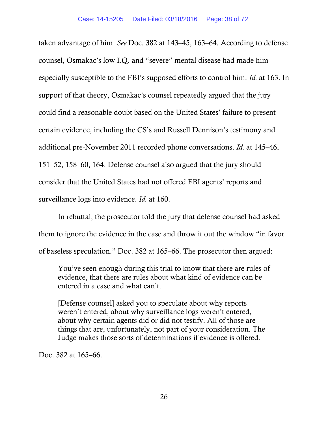taken advantage of him. *See* Doc. 382 at 143–45, 163–64. According to defense counsel, Osmakac's low I.Q. and "severe" mental disease had made him especially susceptible to the FBI's supposed efforts to control him. *Id.* at 163. In support of that theory, Osmakac's counsel repeatedly argued that the jury could find a reasonable doubt based on the United States' failure to present certain evidence, including the CS's and Russell Dennison's testimony and additional pre-November 2011 recorded phone conversations. *Id.* at 145–46, 151–52, 158–60, 164. Defense counsel also argued that the jury should consider that the United States had not offered FBI agents' reports and surveillance logs into evidence. *Id.* at 160.

In rebuttal, the prosecutor told the jury that defense counsel had asked them to ignore the evidence in the case and throw it out the window "in favor of baseless speculation." Doc. 382 at 165–66. The prosecutor then argued:

You've seen enough during this trial to know that there are rules of evidence, that there are rules about what kind of evidence can be entered in a case and what can't.

[Defense counsel] asked you to speculate about why reports weren't entered, about why surveillance logs weren't entered, about why certain agents did or did not testify. All of those are things that are, unfortunately, not part of your consideration. The Judge makes those sorts of determinations if evidence is offered.

Doc. 382 at 165–66.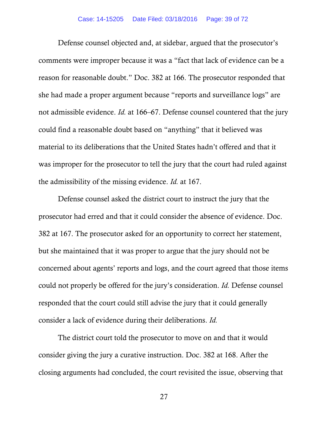Defense counsel objected and, at sidebar, argued that the prosecutor's comments were improper because it was a "fact that lack of evidence can be a reason for reasonable doubt." Doc. 382 at 166. The prosecutor responded that she had made a proper argument because "reports and surveillance logs" are not admissible evidence. *Id.* at 166–67. Defense counsel countered that the jury could find a reasonable doubt based on "anything" that it believed was material to its deliberations that the United States hadn't offered and that it was improper for the prosecutor to tell the jury that the court had ruled against the admissibility of the missing evidence. *Id.* at 167.

Defense counsel asked the district court to instruct the jury that the prosecutor had erred and that it could consider the absence of evidence. Doc. 382 at 167. The prosecutor asked for an opportunity to correct her statement, but she maintained that it was proper to argue that the jury should not be concerned about agents' reports and logs, and the court agreed that those items could not properly be offered for the jury's consideration. *Id.* Defense counsel responded that the court could still advise the jury that it could generally consider a lack of evidence during their deliberations. *Id.*

The district court told the prosecutor to move on and that it would consider giving the jury a curative instruction. Doc. 382 at 168. After the closing arguments had concluded, the court revisited the issue, observing that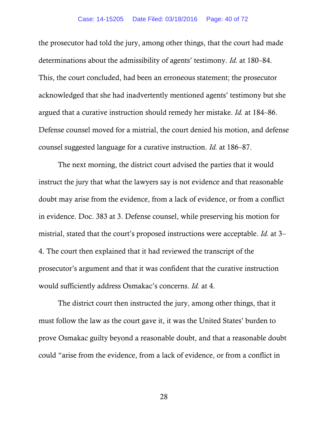the prosecutor had told the jury, among other things, that the court had made determinations about the admissibility of agents' testimony. *Id.* at 180–84. This, the court concluded, had been an erroneous statement; the prosecutor acknowledged that she had inadvertently mentioned agents' testimony but she argued that a curative instruction should remedy her mistake. *Id.* at 184–86. Defense counsel moved for a mistrial, the court denied his motion, and defense counsel suggested language for a curative instruction. *Id.* at 186–87.

The next morning, the district court advised the parties that it would instruct the jury that what the lawyers say is not evidence and that reasonable doubt may arise from the evidence, from a lack of evidence, or from a conflict in evidence. Doc. 383 at 3. Defense counsel, while preserving his motion for mistrial, stated that the court's proposed instructions were acceptable. *Id.* at 3– 4. The court then explained that it had reviewed the transcript of the prosecutor's argument and that it was confident that the curative instruction would sufficiently address Osmakac's concerns. *Id.* at 4.

The district court then instructed the jury, among other things, that it must follow the law as the court gave it, it was the United States' burden to prove Osmakac guilty beyond a reasonable doubt, and that a reasonable doubt could "arise from the evidence, from a lack of evidence, or from a conflict in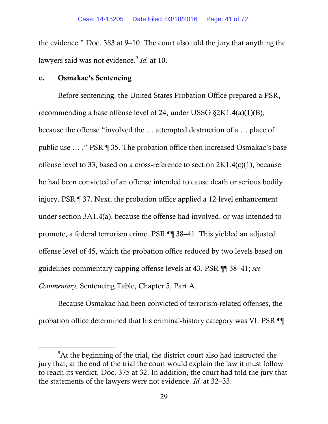the evidence." Doc. 383 at 9–10. The court also told the jury that anything the lawyers said was not evidence.<sup>9</sup> *Id.* at 10.

#### c. Osmakac's Sentencing

Before sentencing, the United States Probation Office prepared a PSR, recommending a base offense level of 24, under USSG §2K1.4(a)(1)(B), because the offense "involved the … attempted destruction of a … place of public use … ." PSR ¶ 35. The probation office then increased Osmakac's base offense level to 33, based on a cross-reference to section 2K1.4(c)(1), because he had been convicted of an offense intended to cause death or serious bodily injury. PSR ¶ 37. Next, the probation office applied a 12-level enhancement under section 3A1.4(a), because the offense had involved, or was intended to promote, a federal terrorism crime. PSR ¶¶ 38–41. This yielded an adjusted offense level of 45, which the probation office reduced by two levels based on guidelines commentary capping offense levels at 43. PSR ¶¶ 38–41; *see Commentary,* Sentencing Table, Chapter 5, Part A.

Because Osmakac had been convicted of terrorism-related offenses, the probation office determined that his criminal-history category was VI. PSR ¶¶

 $\frac{1}{\sqrt{9}}$ <sup>9</sup>At the beginning of the trial, the district court also had instructed the jury that, at the end of the trial the court would explain the law it must follow to reach its verdict. Doc. 375 at 32. In addition, the court had told the jury that the statements of the lawyers were not evidence. *Id.* at 32–33.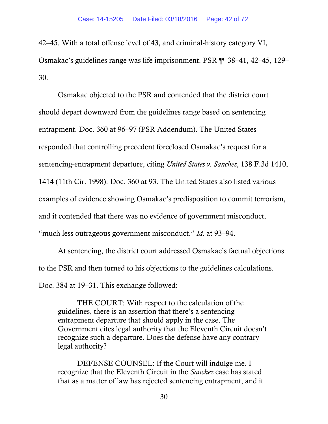42–45. With a total offense level of 43, and criminal-history category VI, Osmakac's guidelines range was life imprisonment. PSR ¶¶ 38–41, 42–45, 129– 30.

Osmakac objected to the PSR and contended that the district court should depart downward from the guidelines range based on sentencing entrapment. Doc. 360 at 96–97 (PSR Addendum). The United States responded that controlling precedent foreclosed Osmakac's request for a sentencing-entrapment departure, citing *United States v. Sanchez*, 138 F.3d 1410, 1414 (11th Cir. 1998). Doc. 360 at 93. The United States also listed various examples of evidence showing Osmakac's predisposition to commit terrorism, and it contended that there was no evidence of government misconduct, "much less outrageous government misconduct." *Id.* at 93–94.

At sentencing, the district court addressed Osmakac's factual objections to the PSR and then turned to his objections to the guidelines calculations.

Doc. 384 at 19–31. This exchange followed:

THE COURT: With respect to the calculation of the guidelines, there is an assertion that there's a sentencing entrapment departure that should apply in the case. The Government cites legal authority that the Eleventh Circuit doesn't recognize such a departure. Does the defense have any contrary legal authority?

DEFENSE COUNSEL: If the Court will indulge me. I recognize that the Eleventh Circuit in the *Sanchez* case has stated that as a matter of law has rejected sentencing entrapment, and it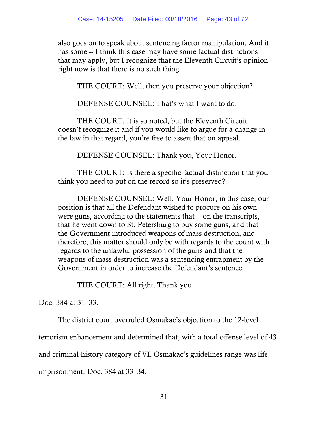also goes on to speak about sentencing factor manipulation. And it has some -- I think this case may have some factual distinctions that may apply, but I recognize that the Eleventh Circuit's opinion right now is that there is no such thing.

THE COURT: Well, then you preserve your objection?

DEFENSE COUNSEL: That's what I want to do.

THE COURT: It is so noted, but the Eleventh Circuit doesn't recognize it and if you would like to argue for a change in the law in that regard, you're free to assert that on appeal.

DEFENSE COUNSEL: Thank you, Your Honor.

THE COURT: Is there a specific factual distinction that you think you need to put on the record so it's preserved?

DEFENSE COUNSEL: Well, Your Honor, in this case, our position is that all the Defendant wished to procure on his own were guns, according to the statements that -- on the transcripts, that he went down to St. Petersburg to buy some guns, and that the Government introduced weapons of mass destruction, and therefore, this matter should only be with regards to the count with regards to the unlawful possession of the guns and that the weapons of mass destruction was a sentencing entrapment by the Government in order to increase the Defendant's sentence.

THE COURT: All right. Thank you.

Doc. 384 at 31–33.

The district court overruled Osmakac's objection to the 12-level

terrorism enhancement and determined that, with a total offense level of 43

and criminal-history category of VI, Osmakac's guidelines range was life

imprisonment. Doc. 384 at 33–34.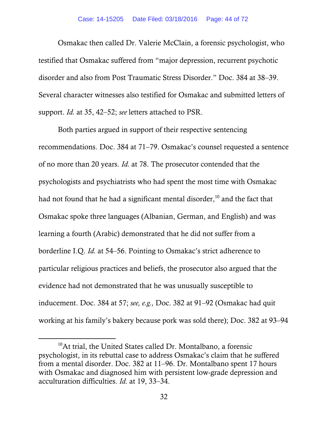Osmakac then called Dr. Valerie McClain, a forensic psychologist, who testified that Osmakac suffered from "major depression, recurrent psychotic disorder and also from Post Traumatic Stress Disorder." Doc. 384 at 38–39. Several character witnesses also testified for Osmakac and submitted letters of support. *Id.* at 35, 42–52; *see* letters attached to PSR.

Both parties argued in support of their respective sentencing recommendations. Doc. 384 at 71–79. Osmakac's counsel requested a sentence of no more than 20 years. *Id.* at 78. The prosecutor contended that the psychologists and psychiatrists who had spent the most time with Osmakac had not found that he had a significant mental disorder,  $10^{\circ}$  and the fact that Osmakac spoke three languages (Albanian, German, and English) and was learning a fourth (Arabic) demonstrated that he did not suffer from a borderline I.Q. *Id.* at 54–56. Pointing to Osmakac's strict adherence to particular religious practices and beliefs, the prosecutor also argued that the evidence had not demonstrated that he was unusually susceptible to inducement. Doc. 384 at 57; *see, e.g.,* Doc. 382 at 91–92 (Osmakac had quit working at his family's bakery because pork was sold there); Doc. 382 at 93–94

<sup>&</sup>lt;sup>10</sup>At trial, the United States called Dr. Montalbano, a forensic psychologist, in its rebuttal case to address Osmakac's claim that he suffered from a mental disorder. Doc. 382 at 11–96. Dr. Montalbano spent 17 hours with Osmakac and diagnosed him with persistent low-grade depression and acculturation difficulties. *Id.* at 19, 33–34.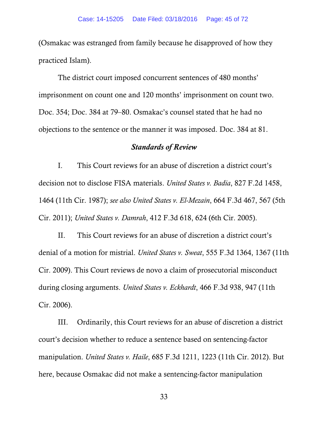(Osmakac was estranged from family because he disapproved of how they practiced Islam).

The district court imposed concurrent sentences of 480 months' imprisonment on count one and 120 months' imprisonment on count two. Doc. 354; Doc. 384 at 79–80. Osmakac's counsel stated that he had no objections to the sentence or the manner it was imposed. Doc. 384 at 81.

#### *Standards of Review*

I. This Court reviews for an abuse of discretion a district court's decision not to disclose FISA materials. *United States v. Badia*, 827 F.2d 1458, 1464 (11th Cir. 1987); *see also United States v. El-Mezain*, 664 F.3d 467, 567 (5th Cir. 2011); *United States v. Damrah*, 412 F.3d 618, 624 (6th Cir. 2005).

II. This Court reviews for an abuse of discretion a district court's denial of a motion for mistrial. *United States v. Sweat*, 555 F.3d 1364, 1367 (11th Cir. 2009). This Court reviews de novo a claim of prosecutorial misconduct during closing arguments. *United States v. Eckhardt*, 466 F.3d 938, 947 (11th Cir. 2006).

III. Ordinarily, this Court reviews for an abuse of discretion a district court's decision whether to reduce a sentence based on sentencing-factor manipulation. *United States v. Haile*, 685 F.3d 1211, 1223 (11th Cir. 2012). But here, because Osmakac did not make a sentencing-factor manipulation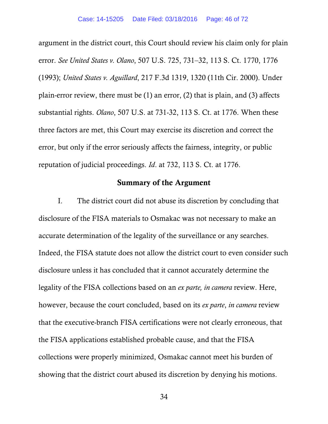argument in the district court, this Court should review his claim only for plain error. *See United States v. Olano*, 507 U.S. 725, 731–32, 113 S. Ct. 1770, 1776 (1993); *United States v. Aguillard*, 217 F.3d 1319, 1320 (11th Cir. 2000). Under plain-error review, there must be (1) an error, (2) that is plain, and (3) affects substantial rights. *Olano*, 507 U.S. at 731-32, 113 S. Ct. at 1776. When these three factors are met, this Court may exercise its discretion and correct the error, but only if the error seriously affects the fairness, integrity, or public reputation of judicial proceedings. *Id*. at 732, 113 S. Ct. at 1776.

#### Summary of the Argument

I. The district court did not abuse its discretion by concluding that disclosure of the FISA materials to Osmakac was not necessary to make an accurate determination of the legality of the surveillance or any searches. Indeed, the FISA statute does not allow the district court to even consider such disclosure unless it has concluded that it cannot accurately determine the legality of the FISA collections based on an *ex parte, in camera* review. Here, however, because the court concluded, based on its *ex parte*, *in camera* review that the executive-branch FISA certifications were not clearly erroneous, that the FISA applications established probable cause, and that the FISA collections were properly minimized, Osmakac cannot meet his burden of showing that the district court abused its discretion by denying his motions.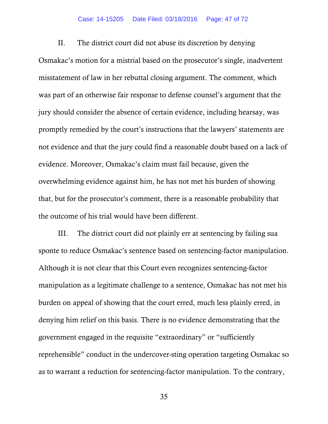#### Case: 14-15205 Date Filed: 03/18/2016 Page: 47 of 72

II. The district court did not abuse its discretion by denying Osmakac's motion for a mistrial based on the prosecutor's single, inadvertent misstatement of law in her rebuttal closing argument. The comment, which was part of an otherwise fair response to defense counsel's argument that the jury should consider the absence of certain evidence, including hearsay, was promptly remedied by the court's instructions that the lawyers' statements are not evidence and that the jury could find a reasonable doubt based on a lack of evidence. Moreover, Osmakac's claim must fail because, given the overwhelming evidence against him, he has not met his burden of showing that, but for the prosecutor's comment, there is a reasonable probability that the outcome of his trial would have been different.

III. The district court did not plainly err at sentencing by failing sua sponte to reduce Osmakac's sentence based on sentencing-factor manipulation. Although it is not clear that this Court even recognizes sentencing-factor manipulation as a legitimate challenge to a sentence, Osmakac has not met his burden on appeal of showing that the court erred, much less plainly erred, in denying him relief on this basis. There is no evidence demonstrating that the government engaged in the requisite "extraordinary" or "sufficiently reprehensible" conduct in the undercover-sting operation targeting Osmakac so as to warrant a reduction for sentencing-factor manipulation. To the contrary,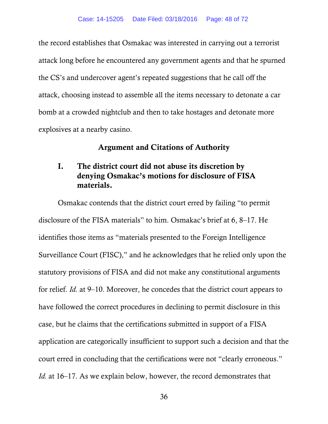the record establishes that Osmakac was interested in carrying out a terrorist attack long before he encountered any government agents and that he spurned the CS's and undercover agent's repeated suggestions that he call off the attack, choosing instead to assemble all the items necessary to detonate a car bomb at a crowded nightclub and then to take hostages and detonate more explosives at a nearby casino.

## Argument and Citations of Authority

## I. The district court did not abuse its discretion by denying Osmakac's motions for disclosure of FISA materials.

Osmakac contends that the district court erred by failing "to permit disclosure of the FISA materials" to him. Osmakac's brief at 6, 8–17. He identifies those items as "materials presented to the Foreign Intelligence Surveillance Court (FISC)," and he acknowledges that he relied only upon the statutory provisions of FISA and did not make any constitutional arguments for relief. *Id.* at 9–10. Moreover, he concedes that the district court appears to have followed the correct procedures in declining to permit disclosure in this case, but he claims that the certifications submitted in support of a FISA application are categorically insufficient to support such a decision and that the court erred in concluding that the certifications were not "clearly erroneous." *Id.* at 16–17. As we explain below, however, the record demonstrates that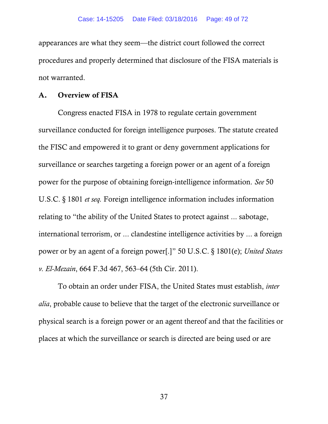appearances are what they seem—the district court followed the correct procedures and properly determined that disclosure of the FISA materials is not warranted.

#### A. Overview of FISA

Congress enacted FISA in 1978 to regulate certain government surveillance conducted for foreign intelligence purposes. The statute created the FISC and empowered it to grant or deny government applications for surveillance or searches targeting a foreign power or an agent of a foreign power for the purpose of obtaining foreign-intelligence information. *See* 50 U.S.C. § 1801 *et seq.* Foreign intelligence information includes information relating to "the ability of the United States to protect against ... sabotage, international terrorism, or ... clandestine intelligence activities by ... a foreign power or by an agent of a foreign power[.]" 50 U.S.C. § 1801(e); *United States v. El-Mezain*, 664 F.3d 467, 563–64 (5th Cir. 2011).

To obtain an order under FISA, the United States must establish, *inter alia*, probable cause to believe that the target of the electronic surveillance or physical search is a foreign power or an agent thereof and that the facilities or places at which the surveillance or search is directed are being used or are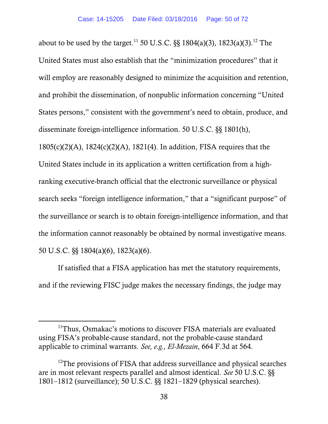about to be used by the target.<sup>11</sup> 50 U.S.C. §§ 1804(a)(3), 1823(a)(3).<sup>12</sup> The United States must also establish that the "minimization procedures" that it will employ are reasonably designed to minimize the acquisition and retention, and prohibit the dissemination, of nonpublic information concerning "United States persons," consistent with the government's need to obtain, produce, and disseminate foreign-intelligence information. 50 U.S.C. §§ 1801(h), 1805(c)(2)(A), 1824(c)(2)(A), 1821(4). In addition, FISA requires that the United States include in its application a written certification from a highranking executive-branch official that the electronic surveillance or physical search seeks "foreign intelligence information," that a "significant purpose" of the surveillance or search is to obtain foreign-intelligence information, and that the information cannot reasonably be obtained by normal investigative means. 50 U.S.C. §§ 1804(a)(6), 1823(a)(6).

If satisfied that a FISA application has met the statutory requirements, and if the reviewing FISC judge makes the necessary findings, the judge may

<sup>&</sup>lt;sup>11</sup>Thus, Osmakac's motions to discover FISA materials are evaluated using FISA's probable-cause standard, not the probable-cause standard applicable to criminal warrants. *See, e.g., El-Mezain*, 664 F.3d at 564.

 $12$ The provisions of FISA that address surveillance and physical searches are in most relevant respects parallel and almost identical. *See* 50 U.S.C. §§ 1801–1812 (surveillance); 50 U.S.C. §§ 1821–1829 (physical searches).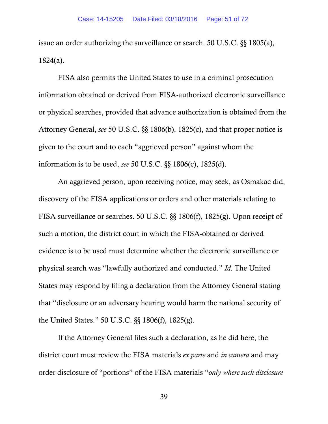issue an order authorizing the surveillance or search. 50 U.S.C. §§ 1805(a), 1824(a).

FISA also permits the United States to use in a criminal prosecution information obtained or derived from FISA-authorized electronic surveillance or physical searches, provided that advance authorization is obtained from the Attorney General, *see* 50 U.S.C. §§ 1806(b), 1825(c), and that proper notice is given to the court and to each "aggrieved person" against whom the information is to be used, *see* 50 U.S.C. §§ 1806(c), 1825(d).

An aggrieved person, upon receiving notice, may seek, as Osmakac did, discovery of the FISA applications or orders and other materials relating to FISA surveillance or searches. 50 U.S.C. §§ 1806(f), 1825(g). Upon receipt of such a motion, the district court in which the FISA-obtained or derived evidence is to be used must determine whether the electronic surveillance or physical search was "lawfully authorized and conducted." *Id.* The United States may respond by filing a declaration from the Attorney General stating that "disclosure or an adversary hearing would harm the national security of the United States." 50 U.S.C. §§ 1806(f), 1825(g).

If the Attorney General files such a declaration, as he did here, the district court must review the FISA materials *ex parte* and *in camera* and may order disclosure of "portions" of the FISA materials "*only where such disclosure*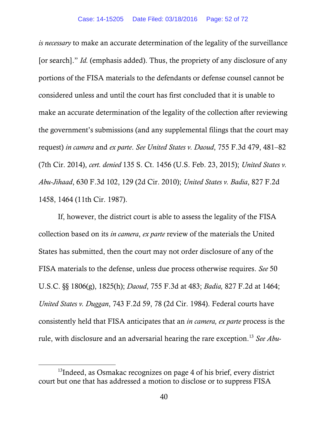*is necessary* to make an accurate determination of the legality of the surveillance [or search]." *Id.* (emphasis added). Thus, the propriety of any disclosure of any portions of the FISA materials to the defendants or defense counsel cannot be considered unless and until the court has first concluded that it is unable to make an accurate determination of the legality of the collection after reviewing the government's submissions (and any supplemental filings that the court may request) *in camera* and *ex parte*. *See United States v. Daoud*, 755 F.3d 479, 481–82 (7th Cir. 2014), *cert. denied* 135 S. Ct. 1456 (U.S. Feb. 23, 2015); *United States v. Abu-Jihaad*, 630 F.3d 102, 129 (2d Cir. 2010); *United States v. Badia*, 827 F.2d 1458, 1464 (11th Cir. 1987).

If, however, the district court is able to assess the legality of the FISA collection based on its *in camera*, *ex parte* review of the materials the United States has submitted, then the court may not order disclosure of any of the FISA materials to the defense, unless due process otherwise requires. *See* 50 U.S.C. §§ 1806(g), 1825(h); *Daoud*, 755 F.3d at 483; *Badia,* 827 F.2d at 1464; *United States v. Duggan*, 743 F.2d 59, 78 (2d Cir. 1984). Federal courts have consistently held that FISA anticipates that an *in camera, ex parte* process is the rule, with disclosure and an adversarial hearing the rare exception.<sup>13</sup> *See Abu-*

<sup>&</sup>lt;sup>13</sup>Indeed, as Osmakac recognizes on page 4 of his brief, every district court but one that has addressed a motion to disclose or to suppress FISA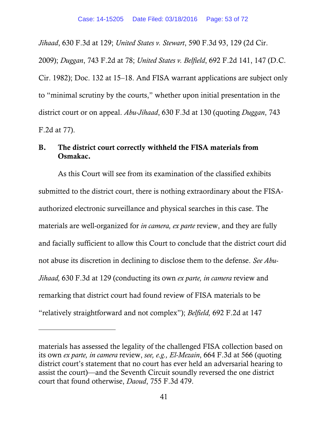*Jihaad*, 630 F.3d at 129; *United States v. Stewart*, 590 F.3d 93, 129 (2d Cir.

2009); *Duggan*, 743 F.2d at 78; *United States v. Belfield*, 692 F.2d 141, 147 (D.C. Cir. 1982); Doc. 132 at 15–18. And FISA warrant applications are subject only to "minimal scrutiny by the courts," whether upon initial presentation in the district court or on appeal. *Abu-Jihaad*, 630 F.3d at 130 (quoting *Duggan*, 743 F.2d at 77).

## B. The district court correctly withheld the FISA materials from Osmakac.

As this Court will see from its examination of the classified exhibits submitted to the district court, there is nothing extraordinary about the FISAauthorized electronic surveillance and physical searches in this case. The materials are well-organized for *in camera, ex parte* review, and they are fully and facially sufficient to allow this Court to conclude that the district court did not abuse its discretion in declining to disclose them to the defense. *See Abu-Jihaad,* 630 F.3d at 129 (conducting its own *ex parte, in camera* review and remarking that district court had found review of FISA materials to be "relatively straightforward and not complex"); *Belfield,* 692 F.2d at 147

-

materials has assessed the legality of the challenged FISA collection based on its own *ex parte, in camera* review, *see, e.g., El-Mezain*, 664 F.3d at 566 (quoting district court's statement that no court has ever held an adversarial hearing to assist the court)—and the Seventh Circuit soundly reversed the one district court that found otherwise, *Daoud*, 755 F.3d 479.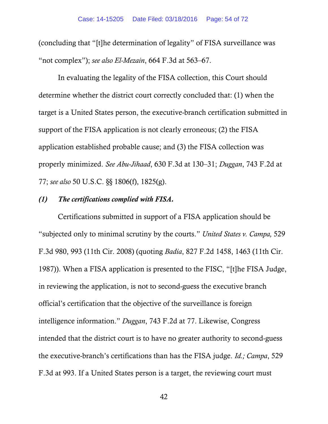(concluding that "[t]he determination of legality" of FISA surveillance was "not complex"); *see also El-Mezain*, 664 F.3d at 563–67.

In evaluating the legality of the FISA collection, this Court should determine whether the district court correctly concluded that: (1) when the target is a United States person, the executive-branch certification submitted in support of the FISA application is not clearly erroneous; (2) the FISA application established probable cause; and (3) the FISA collection was properly minimized. *See Abu-Jihaad*, 630 F.3d at 130–31; *Duggan*, 743 F.2d at 77; *see also* 50 U.S.C. §§ 1806(f), 1825(g).

#### *(1) The certifications complied with FISA.*

Certifications submitted in support of a FISA application should be "subjected only to minimal scrutiny by the courts." *United States v. Campa,* 529 F.3d 980, 993 (11th Cir. 2008) (quoting *Badia*, 827 F.2d 1458, 1463 (11th Cir. 1987)). When a FISA application is presented to the FISC, "[t]he FISA Judge, in reviewing the application, is not to second-guess the executive branch official's certification that the objective of the surveillance is foreign intelligence information." *Duggan*, 743 F.2d at 77. Likewise, Congress intended that the district court is to have no greater authority to second-guess the executive-branch's certifications than has the FISA judge. *Id.; Campa*, 529 F.3d at 993. If a United States person is a target, the reviewing court must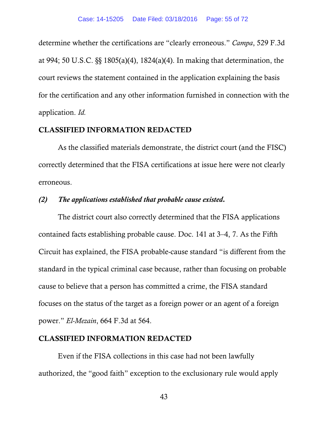determine whether the certifications are "clearly erroneous." *Campa*, 529 F.3d at 994; 50 U.S.C. §§ 1805(a)(4), 1824(a)(4). In making that determination, the court reviews the statement contained in the application explaining the basis for the certification and any other information furnished in connection with the application. *Id.* 

#### CLASSIFIED INFORMATION REDACTED

As the classified materials demonstrate, the district court (and the FISC) correctly determined that the FISA certifications at issue here were not clearly erroneous.

#### *(2) The applications established that probable cause existed.*

The district court also correctly determined that the FISA applications contained facts establishing probable cause. Doc. 141 at 3–4, 7. As the Fifth Circuit has explained, the FISA probable-cause standard "is different from the standard in the typical criminal case because, rather than focusing on probable cause to believe that a person has committed a crime, the FISA standard focuses on the status of the target as a foreign power or an agent of a foreign power." *El-Mezain*, 664 F.3d at 564.

#### CLASSIFIED INFORMATION REDACTED

Even if the FISA collections in this case had not been lawfully authorized, the "good faith" exception to the exclusionary rule would apply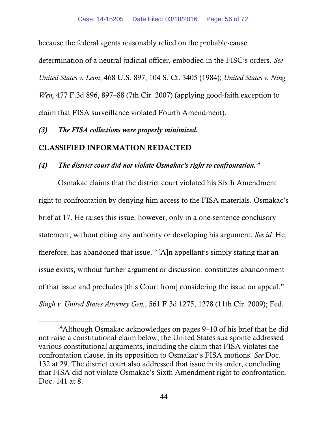because the federal agents reasonably relied on the probable-cause determination of a neutral judicial officer, embodied in the FISC's orders. *See United States v. Leon*, 468 U.S. 897, 104 S. Ct. 3405 (1984); *United States v. Ning Wen,* 477 F.3d 896, 897–88 (7th Cir. 2007) (applying good-faith exception to claim that FISA surveillance violated Fourth Amendment).

*(3) The FISA collections were properly minimized.* 

### CLASSIFIED INFORMATION REDACTED

### *(4) The district court did not violate Osmakac's right to confrontation.*<sup>14</sup>

Osmakac claims that the district court violated his Sixth Amendment right to confrontation by denying him access to the FISA materials. Osmakac's brief at 17. He raises this issue, however, only in a one-sentence conclusory statement, without citing any authority or developing his argument. *See id.* He, therefore, has abandoned that issue. "[A]n appellant's simply stating that an issue exists, without further argument or discussion, constitutes abandonment of that issue and precludes [this Court from] considering the issue on appeal." *Singh v. United States Attorney Gen.*, 561 F.3d 1275, 1278 (11th Cir. 2009); Fed.

<sup>&</sup>lt;sup>14</sup>Although Osmakac acknowledges on pages 9–10 of his brief that he did not raise a constitutional claim below, the United States sua sponte addressed various constitutional arguments, including the claim that FISA violates the confrontation clause, in its opposition to Osmakac's FISA motions. *See* Doc. 132 at 29. The district court also addressed that issue in its order, concluding that FISA did not violate Osmakac's Sixth Amendment right to confrontation. Doc. 141 at 8.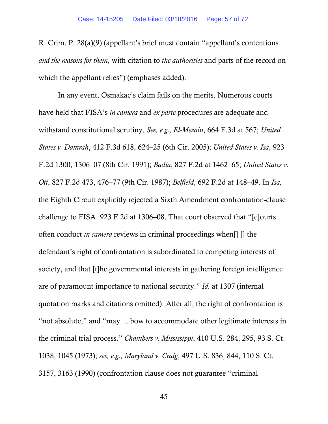R. Crim. P. 28(a)(9) (appellant's brief must contain "appellant's contentions *and the reasons for them*, with citation to *the authorities* and parts of the record on which the appellant relies") (emphases added).

In any event, Osmakac's claim fails on the merits. Numerous courts have held that FISA's *in camera* and *ex parte* procedures are adequate and withstand constitutional scrutiny. *See, e.g., El-Mezain*, 664 F.3d at 567; *United States v. Damrah*, 412 F.3d 618, 624–25 (6th Cir. 2005); *United States v. Isa*, 923 F.2d 1300, 1306–07 (8th Cir. 1991); *Badia*, 827 F.2d at 1462–65; *United States v. Ott*, 827 F.2d 473, 476–77 (9th Cir. 1987); *Belfield*, 692 F.2d at 148–49. In *Isa,*  the Eighth Circuit explicitly rejected a Sixth Amendment confrontation-clause challenge to FISA. 923 F.2d at 1306–08. That court observed that "[c]ourts often conduct *in camera* reviews in criminal proceedings when[] [] the defendant's right of confrontation is subordinated to competing interests of society, and that [t]he governmental interests in gathering foreign intelligence are of paramount importance to national security." *Id.* at 1307 (internal quotation marks and citations omitted). After all, the right of confrontation is "not absolute," and "may ... bow to accommodate other legitimate interests in the criminal trial process." *Chambers v. Mississippi*, 410 U.S. 284, 295, 93 S. Ct. 1038, 1045 (1973); *see, e.g., Maryland v. Craig*, 497 U.S. 836, 844, 110 S. Ct. 3157, 3163 (1990) (confrontation clause does not guarantee "criminal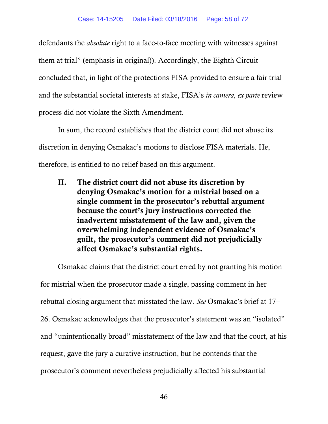defendants the *absolute* right to a face-to-face meeting with witnesses against them at trial" (emphasis in original)). Accordingly, the Eighth Circuit concluded that, in light of the protections FISA provided to ensure a fair trial and the substantial societal interests at stake, FISA's *in camera, ex parte* review process did not violate the Sixth Amendment.

In sum, the record establishes that the district court did not abuse its discretion in denying Osmakac's motions to disclose FISA materials. He, therefore, is entitled to no relief based on this argument.

II. The district court did not abuse its discretion by denying Osmakac's motion for a mistrial based on a single comment in the prosecutor's rebuttal argument because the court's jury instructions corrected the inadvertent misstatement of the law and, given the overwhelming independent evidence of Osmakac's guilt, the prosecutor's comment did not prejudicially affect Osmakac's substantial rights.

Osmakac claims that the district court erred by not granting his motion for mistrial when the prosecutor made a single, passing comment in her rebuttal closing argument that misstated the law. *See* Osmakac's brief at 17– 26. Osmakac acknowledges that the prosecutor's statement was an "isolated" and "unintentionally broad" misstatement of the law and that the court, at his request, gave the jury a curative instruction, but he contends that the prosecutor's comment nevertheless prejudicially affected his substantial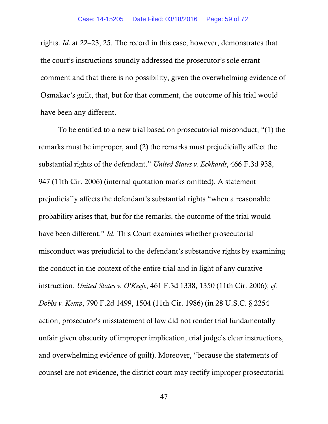rights. *Id.* at 22–23, 25. The record in this case, however, demonstrates that the court's instructions soundly addressed the prosecutor's sole errant comment and that there is no possibility, given the overwhelming evidence of Osmakac's guilt, that, but for that comment, the outcome of his trial would have been any different.

To be entitled to a new trial based on prosecutorial misconduct, "(1) the remarks must be improper, and (2) the remarks must prejudicially affect the substantial rights of the defendant." *United States v. Eckhardt*, 466 F.3d 938, 947 (11th Cir. 2006) (internal quotation marks omitted). A statement prejudicially affects the defendant's substantial rights "when a reasonable probability arises that, but for the remarks, the outcome of the trial would have been different." *Id*. This Court examines whether prosecutorial misconduct was prejudicial to the defendant's substantive rights by examining the conduct in the context of the entire trial and in light of any curative instruction. *United States v. O'Keefe*, 461 F.3d 1338, 1350 (11th Cir. 2006); *cf. Dobbs v. Kemp*, 790 F.2d 1499, 1504 (11th Cir. 1986) (in 28 U.S.C. § 2254 action, prosecutor's misstatement of law did not render trial fundamentally unfair given obscurity of improper implication, trial judge's clear instructions, and overwhelming evidence of guilt). Moreover, "because the statements of counsel are not evidence, the district court may rectify improper prosecutorial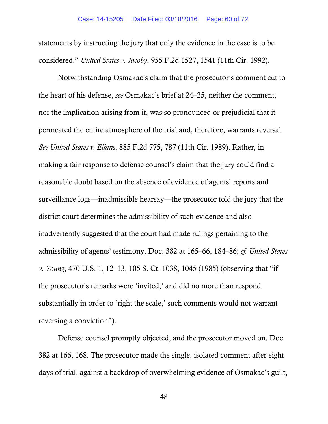statements by instructing the jury that only the evidence in the case is to be considered." *United States v. Jacoby*, 955 F.2d 1527, 1541 (11th Cir. 1992).

Notwithstanding Osmakac's claim that the prosecutor's comment cut to the heart of his defense, *see* Osmakac's brief at 24–25, neither the comment, nor the implication arising from it, was so pronounced or prejudicial that it permeated the entire atmosphere of the trial and, therefore, warrants reversal. *See United States v. Elkins*, 885 F.2d 775, 787 (11th Cir. 1989). Rather, in making a fair response to defense counsel's claim that the jury could find a reasonable doubt based on the absence of evidence of agents' reports and surveillance logs—inadmissible hearsay—the prosecutor told the jury that the district court determines the admissibility of such evidence and also inadvertently suggested that the court had made rulings pertaining to the admissibility of agents' testimony. Doc. 382 at 165–66, 184–86; *cf. United States v. Young*, 470 U.S. 1, 12–13, 105 S. Ct. 1038, 1045 (1985) (observing that "if the prosecutor's remarks were 'invited,' and did no more than respond substantially in order to 'right the scale,' such comments would not warrant reversing a conviction").

Defense counsel promptly objected, and the prosecutor moved on. Doc. 382 at 166, 168. The prosecutor made the single, isolated comment after eight days of trial, against a backdrop of overwhelming evidence of Osmakac's guilt,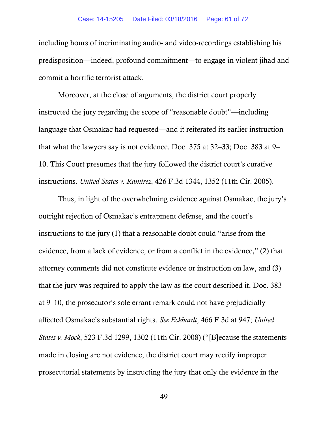including hours of incriminating audio- and video-recordings establishing his predisposition—indeed, profound commitment—to engage in violent jihad and commit a horrific terrorist attack.

Moreover, at the close of arguments, the district court properly instructed the jury regarding the scope of "reasonable doubt"—including language that Osmakac had requested—and it reiterated its earlier instruction that what the lawyers say is not evidence. Doc. 375 at 32–33; Doc. 383 at 9– 10. This Court presumes that the jury followed the district court's curative instructions. *United States v. Ramirez*, 426 F.3d 1344, 1352 (11th Cir. 2005).

Thus, in light of the overwhelming evidence against Osmakac, the jury's outright rejection of Osmakac's entrapment defense, and the court's instructions to the jury (1) that a reasonable doubt could "arise from the evidence, from a lack of evidence, or from a conflict in the evidence," (2) that attorney comments did not constitute evidence or instruction on law, and (3) that the jury was required to apply the law as the court described it, Doc. 383 at 9–10, the prosecutor's sole errant remark could not have prejudicially affected Osmakac's substantial rights. *See Eckhardt*, 466 F.3d at 947; *United States v. Mock*, 523 F.3d 1299, 1302 (11th Cir. 2008) ("[B]ecause the statements made in closing are not evidence, the district court may rectify improper prosecutorial statements by instructing the jury that only the evidence in the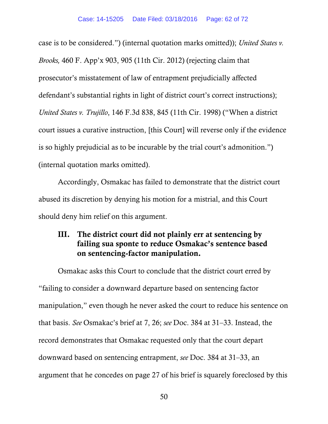case is to be considered.") (internal quotation marks omitted)); *United States v. Brooks,* 460 F. App'x 903, 905 (11th Cir. 2012) (rejecting claim that prosecutor's misstatement of law of entrapment prejudicially affected defendant's substantial rights in light of district court's correct instructions); *United States v. Trujillo*, 146 F.3d 838, 845 (11th Cir. 1998) ("When a district court issues a curative instruction, [this Court] will reverse only if the evidence is so highly prejudicial as to be incurable by the trial court's admonition.") (internal quotation marks omitted).

Accordingly, Osmakac has failed to demonstrate that the district court abused its discretion by denying his motion for a mistrial, and this Court should deny him relief on this argument.

## III. The district court did not plainly err at sentencing by failing sua sponte to reduce Osmakac's sentence based on sentencing-factor manipulation.

Osmakac asks this Court to conclude that the district court erred by "failing to consider a downward departure based on sentencing factor manipulation," even though he never asked the court to reduce his sentence on that basis. *See* Osmakac's brief at 7, 26; *see* Doc. 384 at 31–33. Instead, the record demonstrates that Osmakac requested only that the court depart downward based on sentencing entrapment, *see* Doc. 384 at 31–33, an argument that he concedes on page 27 of his brief is squarely foreclosed by this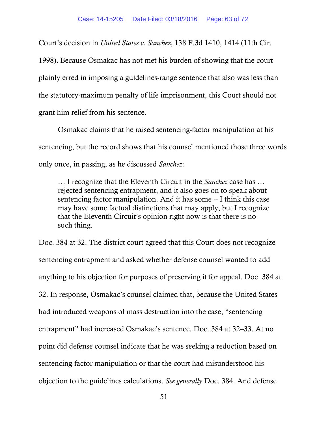Court's decision in *United States v. Sanchez*, 138 F.3d 1410, 1414 (11th Cir.

1998). Because Osmakac has not met his burden of showing that the court plainly erred in imposing a guidelines-range sentence that also was less than the statutory-maximum penalty of life imprisonment, this Court should not grant him relief from his sentence.

Osmakac claims that he raised sentencing-factor manipulation at his sentencing, but the record shows that his counsel mentioned those three words only once, in passing, as he discussed *Sanchez*:

… I recognize that the Eleventh Circuit in the *Sanchez* case has … rejected sentencing entrapment, and it also goes on to speak about sentencing factor manipulation. And it has some -- I think this case may have some factual distinctions that may apply, but I recognize that the Eleventh Circuit's opinion right now is that there is no such thing.

Doc. 384 at 32. The district court agreed that this Court does not recognize sentencing entrapment and asked whether defense counsel wanted to add anything to his objection for purposes of preserving it for appeal. Doc. 384 at 32. In response, Osmakac's counsel claimed that, because the United States had introduced weapons of mass destruction into the case, "sentencing entrapment" had increased Osmakac's sentence. Doc. 384 at 32–33. At no point did defense counsel indicate that he was seeking a reduction based on sentencing-factor manipulation or that the court had misunderstood his objection to the guidelines calculations. *See generally* Doc. 384. And defense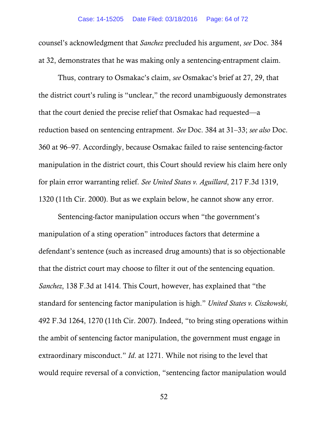counsel's acknowledgment that *Sanchez* precluded his argument, *see* Doc. 384 at 32, demonstrates that he was making only a sentencing-entrapment claim.

Thus, contrary to Osmakac's claim, *see* Osmakac's brief at 27, 29, that the district court's ruling is "unclear," the record unambiguously demonstrates that the court denied the precise relief that Osmakac had requested—a reduction based on sentencing entrapment. *See* Doc. 384 at 31–33; *see also* Doc. 360 at 96–97. Accordingly, because Osmakac failed to raise sentencing-factor manipulation in the district court, this Court should review his claim here only for plain error warranting relief. *See United States v. Aguillard*, 217 F.3d 1319, 1320 (11th Cir. 2000). But as we explain below, he cannot show any error.

Sentencing-factor manipulation occurs when "the government's manipulation of a sting operation" introduces factors that determine a defendant's sentence (such as increased drug amounts) that is so objectionable that the district court may choose to filter it out of the sentencing equation. *Sanchez*, 138 F.3d at 1414. This Court, however, has explained that "the standard for sentencing factor manipulation is high." *United States v. Ciszkowski,* 492 F.3d 1264, 1270 (11th Cir. 2007). Indeed, "to bring sting operations within the ambit of sentencing factor manipulation, the government must engage in extraordinary misconduct." *Id*. at 1271. While not rising to the level that would require reversal of a conviction, "sentencing factor manipulation would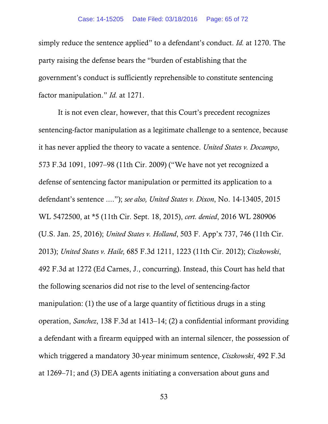#### Case: 14-15205 Date Filed: 03/18/2016 Page: 65 of 72

simply reduce the sentence applied" to a defendant's conduct. *Id.* at 1270. The party raising the defense bears the "burden of establishing that the government's conduct is sufficiently reprehensible to constitute sentencing factor manipulation." *Id.* at 1271.

It is not even clear, however, that this Court's precedent recognizes sentencing-factor manipulation as a legitimate challenge to a sentence, because it has never applied the theory to vacate a sentence. *United States v. Docampo*, 573 F.3d 1091, 1097–98 (11th Cir. 2009) ("We have not yet recognized a defense of sentencing factor manipulation or permitted its application to a defendant's sentence ...."); *see also, United States v. Dixon*, No. 14-13405, 2015 WL 5472500, at \*5 (11th Cir. Sept. 18, 2015), *cert. denied*, 2016 WL 280906 (U.S. Jan. 25, 2016); *United States v. Holland*, 503 F. App'x 737, 746 (11th Cir. 2013); *United States v. Haile,* 685 F.3d 1211, 1223 (11th Cir. 2012); *Ciszkowski*, 492 F.3d at 1272 (Ed Carnes, J., concurring). Instead, this Court has held that the following scenarios did not rise to the level of sentencing-factor manipulation: (1) the use of a large quantity of fictitious drugs in a sting operation, *Sanchez*, 138 F.3d at 1413–14; (2) a confidential informant providing a defendant with a firearm equipped with an internal silencer, the possession of which triggered a mandatory 30-year minimum sentence, *Ciszkowski*, 492 F.3d at 1269–71; and (3) DEA agents initiating a conversation about guns and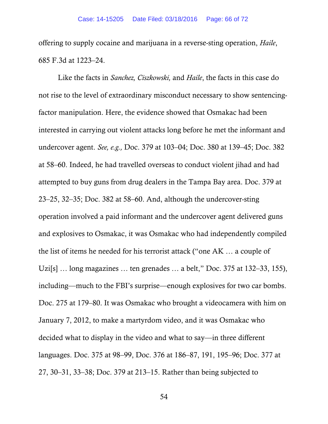offering to supply cocaine and marijuana in a reverse-sting operation, *Haile*, 685 F.3d at 1223–24.

Like the facts in *Sanchez, Ciszkowski,* and *Haile*, the facts in this case do not rise to the level of extraordinary misconduct necessary to show sentencingfactor manipulation. Here, the evidence showed that Osmakac had been interested in carrying out violent attacks long before he met the informant and undercover agent. *See, e.g.,* Doc. 379 at 103–04; Doc. 380 at 139–45; Doc. 382 at 58–60. Indeed, he had travelled overseas to conduct violent jihad and had attempted to buy guns from drug dealers in the Tampa Bay area. Doc. 379 at 23–25, 32–35; Doc. 382 at 58–60. And, although the undercover-sting operation involved a paid informant and the undercover agent delivered guns and explosives to Osmakac, it was Osmakac who had independently compiled the list of items he needed for his terrorist attack ("one AK … a couple of Uzi[s] … long magazines … ten grenades … a belt," Doc. 375 at 132–33, 155), including—much to the FBI's surprise—enough explosives for two car bombs. Doc. 275 at 179–80. It was Osmakac who brought a videocamera with him on January 7, 2012, to make a martyrdom video, and it was Osmakac who decided what to display in the video and what to say—in three different languages. Doc. 375 at 98–99, Doc. 376 at 186–87, 191, 195–96; Doc. 377 at 27, 30–31, 33–38; Doc. 379 at 213–15. Rather than being subjected to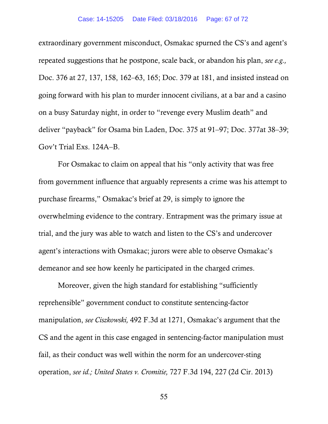extraordinary government misconduct, Osmakac spurned the CS's and agent's repeated suggestions that he postpone, scale back, or abandon his plan, *see e.g.,*  Doc. 376 at 27, 137, 158, 162–63, 165; Doc. 379 at 181, and insisted instead on going forward with his plan to murder innocent civilians, at a bar and a casino on a busy Saturday night, in order to "revenge every Muslim death" and deliver "payback" for Osama bin Laden, Doc. 375 at 91–97; Doc. 377at 38–39; Gov't Trial Exs. 124A–B.

For Osmakac to claim on appeal that his "only activity that was free from government influence that arguably represents a crime was his attempt to purchase firearms," Osmakac's brief at 29, is simply to ignore the overwhelming evidence to the contrary. Entrapment was the primary issue at trial, and the jury was able to watch and listen to the CS's and undercover agent's interactions with Osmakac; jurors were able to observe Osmakac's demeanor and see how keenly he participated in the charged crimes.

Moreover, given the high standard for establishing "sufficiently reprehensible" government conduct to constitute sentencing-factor manipulation, *see Ciszkowski,* 492 F.3d at 1271, Osmakac's argument that the CS and the agent in this case engaged in sentencing-factor manipulation must fail, as their conduct was well within the norm for an undercover-sting operation, *see id.; United States v. Cromitie,* 727 F.3d 194, 227 (2d Cir. 2013)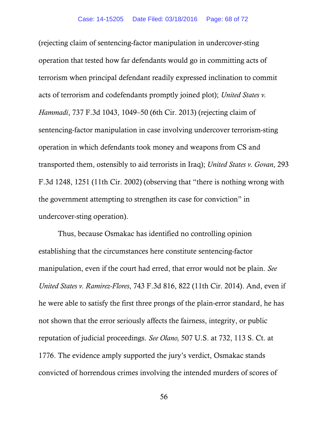(rejecting claim of sentencing-factor manipulation in undercover-sting operation that tested how far defendants would go in committing acts of terrorism when principal defendant readily expressed inclination to commit acts of terrorism and codefendants promptly joined plot); *United States v. Hammadi*, 737 F.3d 1043, 1049–50 (6th Cir. 2013) (rejecting claim of sentencing-factor manipulation in case involving undercover terrorism-sting operation in which defendants took money and weapons from CS and transported them, ostensibly to aid terrorists in Iraq); *United States v. Govan*, 293 F.3d 1248, 1251 (11th Cir. 2002) (observing that "there is nothing wrong with the government attempting to strengthen its case for conviction" in undercover-sting operation).

Thus, because Osmakac has identified no controlling opinion establishing that the circumstances here constitute sentencing-factor manipulation, even if the court had erred, that error would not be plain. *See United States v. Ramirez-Flores*, 743 F.3d 816, 822 (11th Cir. 2014). And, even if he were able to satisfy the first three prongs of the plain-error standard, he has not shown that the error seriously affects the fairness, integrity, or public reputation of judicial proceedings. *See Olano,* 507 U.S. at 732, 113 S. Ct. at 1776. The evidence amply supported the jury's verdict, Osmakac stands convicted of horrendous crimes involving the intended murders of scores of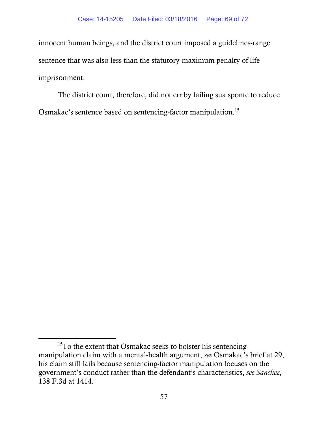innocent human beings, and the district court imposed a guidelines-range sentence that was also less than the statutory-maximum penalty of life imprisonment.

The district court, therefore, did not err by failing sua sponte to reduce Osmakac's sentence based on sentencing-factor manipulation.15

<sup>&</sup>lt;sup>15</sup>To the extent that Osmakac seeks to bolster his sentencingmanipulation claim with a mental-health argument, *see* Osmakac's brief at 29, his claim still fails because sentencing-factor manipulation focuses on the government's conduct rather than the defendant's characteristics, *see Sanchez*, 138 F.3d at 1414.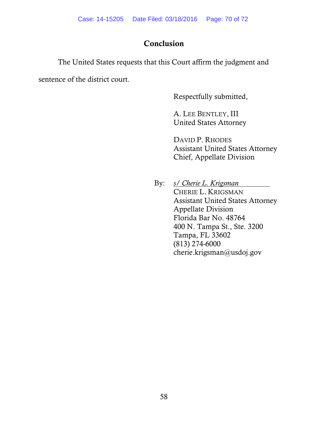# Conclusion

The United States requests that this Court affirm the judgment and

sentence of the district court.

Respectfully submitted,

 A. LEE BENTLEY, III United States Attorney

 DAVID P. RHODES Assistant United States Attorney Chief, Appellate Division

 By: *s/ Cherie L. Krigsman*  CHERIE L. KRIGSMAN Assistant United States Attorney Appellate Division Florida Bar No. 48764 400 N. Tampa St., Ste. 3200 Tampa, FL 33602 (813) 274-6000 cherie.krigsman@usdoj.gov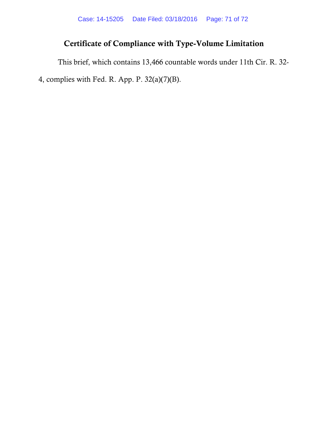# Certificate of Compliance with Type-Volume Limitation

This brief, which contains 13,466 countable words under 11th Cir. R. 32- 4, complies with Fed. R. App. P. 32(a)(7)(B).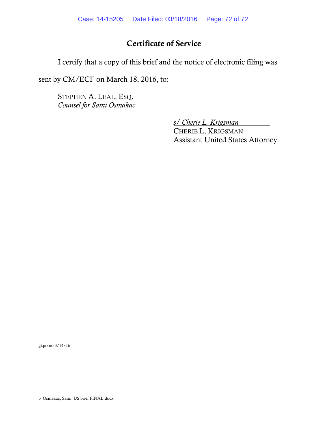## Certificate of Service

I certify that a copy of this brief and the notice of electronic filing was

sent by CM/ECF on March 18, 2016, to:

STEPHEN A. LEAL, ESQ. *Counsel for Sami Osmakac* 

> *s/ Cherie L. Krigsman*  CHERIE L. KRIGSMAN Assistant United States Attorney

gkpr/no 3/14/16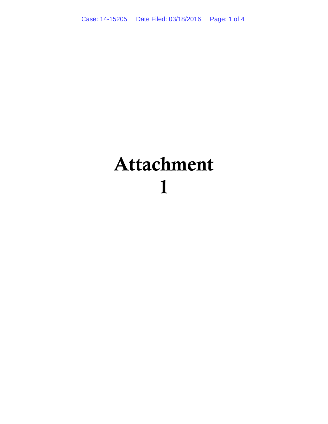## Attachment 1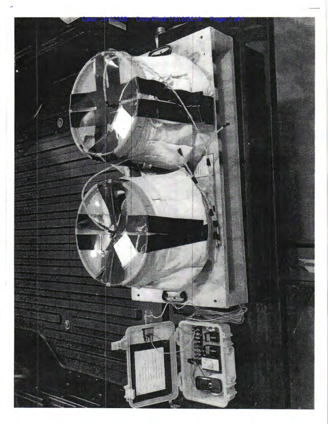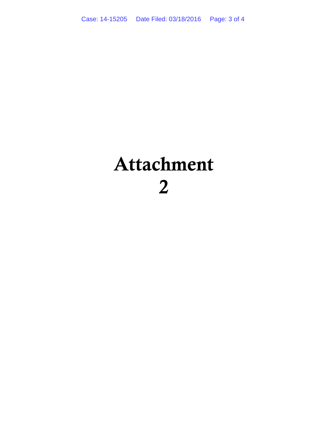## Attachment 2